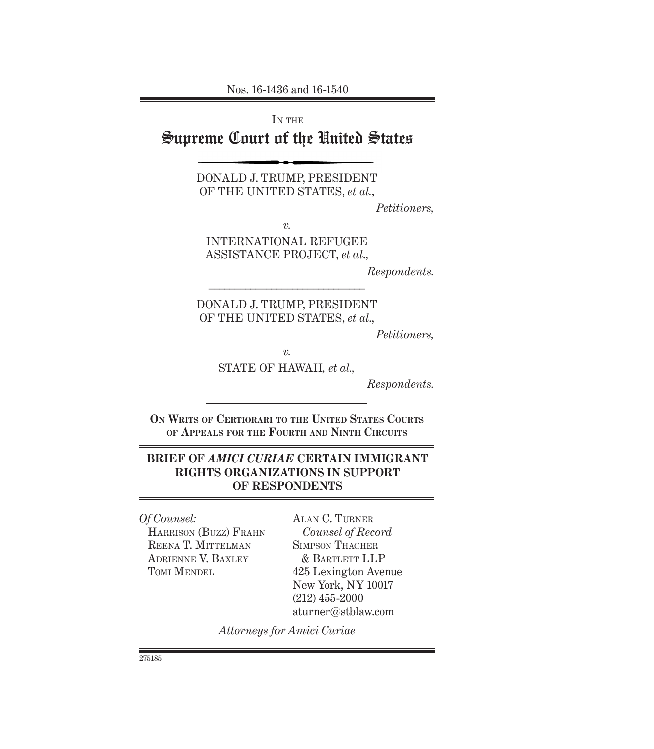Nos. 16-1436 and 16-1540

IN THE

# Supreme Court of the United States

DONALD J. TRUMP, PRESIDENT OF THE UNITED STATES, *et al.*,

*Petitioners,*

*v.*

INTERNATIONAL REFUGEE ASSISTANCE PROJECT, *et al*.,

*Respondents.*

DONALD J. TRUMP, PRESIDENT OF THE UNITED STATES, *et al*.,

––––––––––––––––––––––––––––––

*Petitioners,*

*v.*

STATE OF HAWAII*, et al.,* 

*Respondents.*

**On Writs of Certiorari to the United States Courts of Appeals for the Fourth and Ninth Circuits**

### **BRIEF OF** *AMICI CURIAE* **CERTAIN IMMIGRANT RIGHTS ORGANIZATIONS IN SUPPORT OF RESPONDENTS**

*Of Counsel:* 

Harrison (Buzz) Frahn REENA T. MITTELMAN Adrienne V. Baxley TOMI MENDEL

Alan C. Turner *Counsel of Record* Simpson Thacher & Bartlett LLP 425 Lexington Avenue New York, NY 10017 (212) 455-2000 aturner@stblaw.com

*Attorneys for Amici Curiae*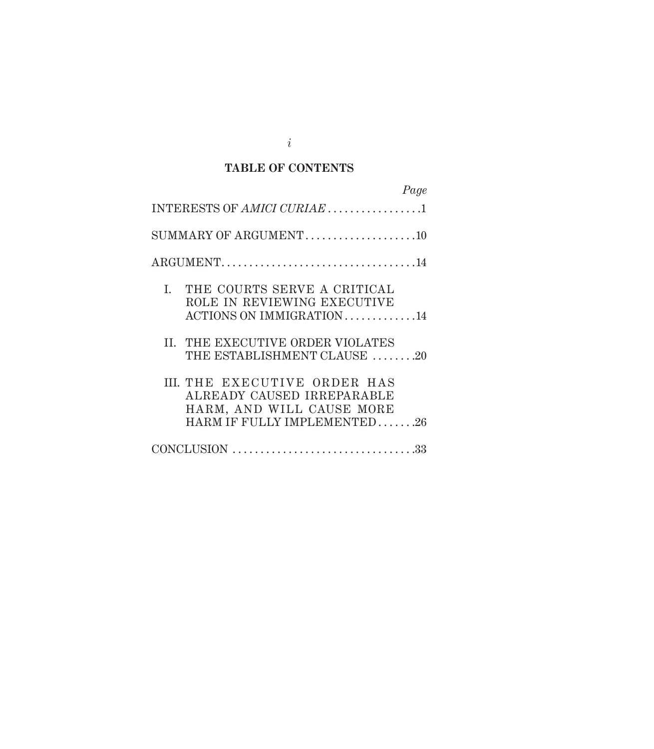### **TABLE OF CONTENTS**

| Page                                                                                                                   |
|------------------------------------------------------------------------------------------------------------------------|
| INTERESTS OF AMICI CURIAE 1                                                                                            |
|                                                                                                                        |
|                                                                                                                        |
| I. THE COURTS SERVE A CRITICAL<br>ROLE IN REVIEWING EXECUTIVE<br>ACTIONS ON IMMIGRATION 14                             |
| II. THE EXECUTIVE ORDER VIOLATES<br>THE ESTABLISHMENT CLAUSE 20                                                        |
| III. THE EXECUTIVE ORDER HAS<br>ALREADY CAUSED IRREPARABLE<br>HARM, AND WILL CAUSE MORE<br>HARM IF FULLY IMPLEMENTED26 |
|                                                                                                                        |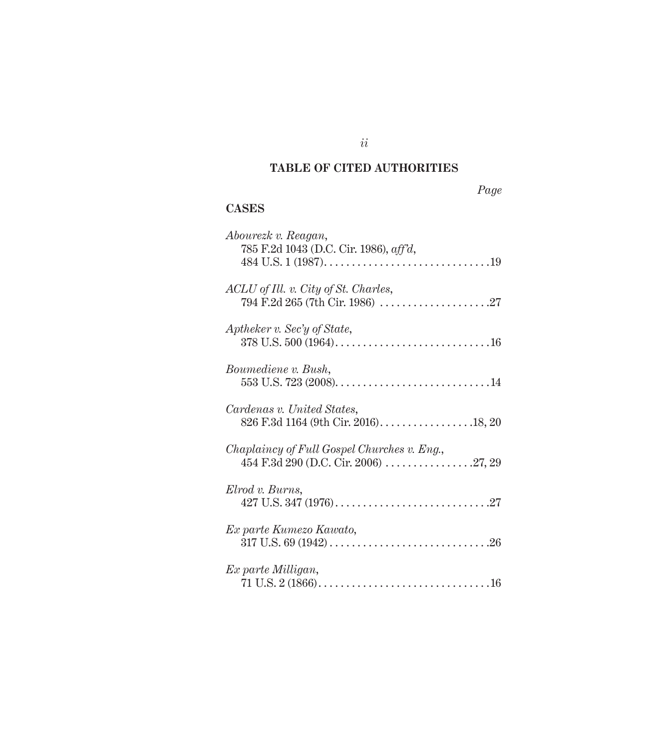# **TABLE OF CITED AUTHORITIES**

*ii*

#### **CASES**

| Abourezk v. Reagan,<br>785 F.2d 1043 (D.C. Cir. 1986), aff'd,                       |
|-------------------------------------------------------------------------------------|
| ACLU of Ill. v. City of St. Charles,                                                |
| Aptheker v. Sec'y of State,                                                         |
| Boumediene v. Bush,                                                                 |
| Cardenas v. United States,                                                          |
| Chaplaincy of Full Gospel Churches v. Eng.,<br>454 F.3d 290 (D.C. Cir. 2006) 27, 29 |
| Elrod v. Burns,                                                                     |
| Ex parte Kumezo Kawato,                                                             |
| Ex parte Milligan,                                                                  |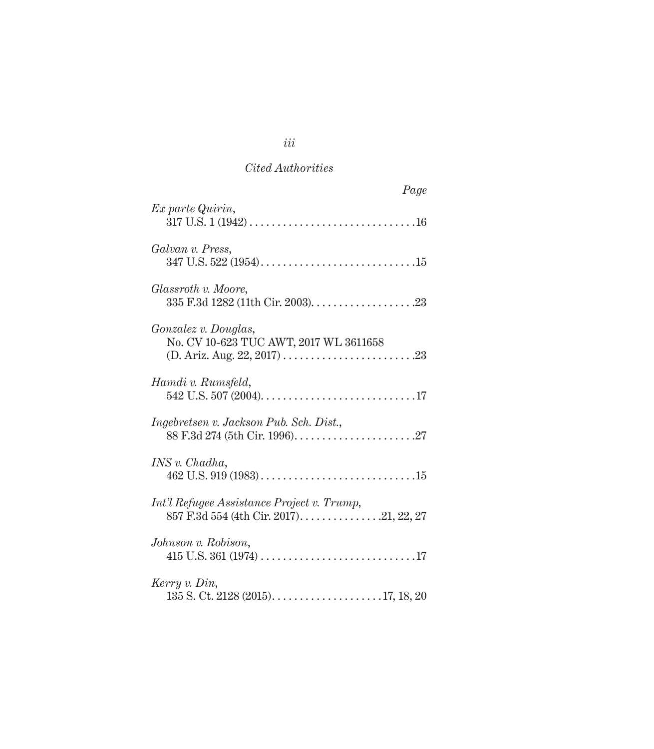| Page                                                                                   |
|----------------------------------------------------------------------------------------|
| Ex parte Quirin,                                                                       |
| Galvan v. Press,                                                                       |
| Glassroth v. Moore,                                                                    |
| Gonzalez v. Douglas,<br>No. CV 10-623 TUC AWT, 2017 WL 3611658                         |
| Hamdi v. Rumsfeld,                                                                     |
| Ingebretsen v. Jackson Pub. Sch. Dist.,                                                |
| INS v. Chadha,                                                                         |
| Int'l Refugee Assistance Project v. Trump,<br>857 F.3d 554 (4th Cir. 2017). 21, 22, 27 |
| Johnson v. Robison,                                                                    |
| Kerry v. Din,                                                                          |

*iii*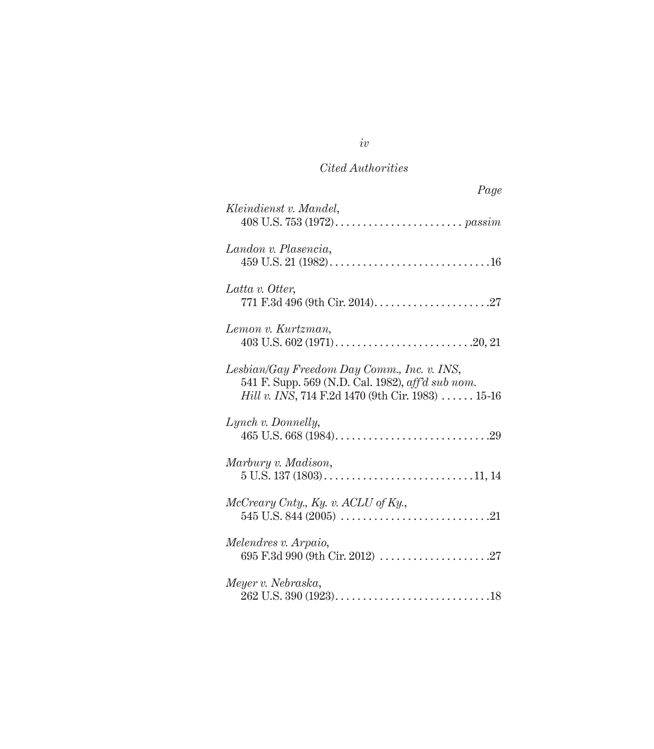| Page                                                                                                                                                                 |
|----------------------------------------------------------------------------------------------------------------------------------------------------------------------|
| Kleindienst v. Mandel,                                                                                                                                               |
| Landon v. Plasencia,                                                                                                                                                 |
| Latta v. Otter,                                                                                                                                                      |
| Lemon v. Kurtzman,                                                                                                                                                   |
| Lesbian/Gay Freedom Day Comm., Inc. v. INS,<br>541 F. Supp. 569 (N.D. Cal. 1982), aff'd sub nom.<br><i>Hill v. INS</i> , 714 F.2d 1470 (9th Cir. 1983) $\dots$ 15-16 |
| Lynch v. Donnelly,                                                                                                                                                   |
| Marbury v. Madison,                                                                                                                                                  |
| McCreary Cnty., Ky. v. ACLU of Ky.,                                                                                                                                  |
| Melendres v. Arpaio,<br>695 F.3d 990 (9th Cir. 2012) $\ldots \ldots \ldots \ldots \ldots \ldots \ldots$                                                              |
| Meyer v. Nebraska,                                                                                                                                                   |

*iv*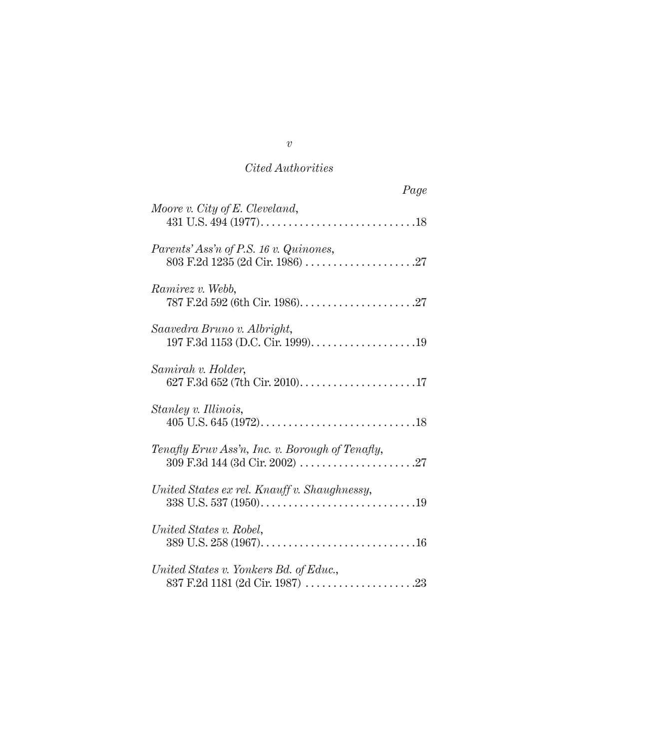| Page                                            |
|-------------------------------------------------|
| Moore v. City of E. Cleveland,                  |
| Parents' Ass'n of P.S. 16 v. Quinones,          |
| Ramirez v. Webb,                                |
| Saavedra Bruno v. Albright,                     |
| Samirah v. Holder,                              |
| Stanley v. Illinois,                            |
| Tenafly Eruv Ass'n, Inc. v. Borough of Tenafly, |
| United States ex rel. Knauff v. Shaughnessy,    |
| United States v. Robel,                         |
| United States v. Yonkers Bd. of Educ.,          |

*v*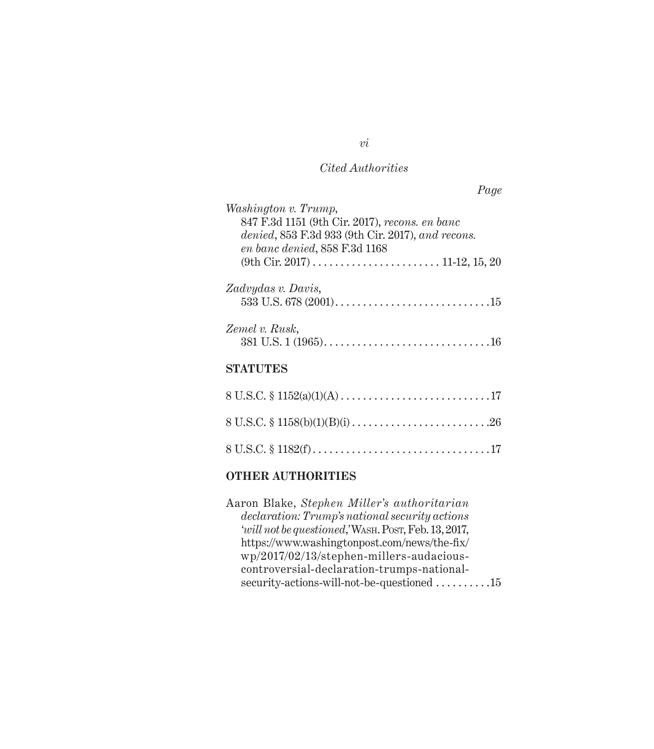| Washington v. Trump,                                                        |
|-----------------------------------------------------------------------------|
| 847 F.3d 1151 (9th Cir. 2017), recons. en banc                              |
| denied, 853 F.3d 933 (9th Cir. 2017), and recons.                           |
| en banc denied, 858 F.3d 1168                                               |
|                                                                             |
|                                                                             |
| Zadvydas v. Davis,                                                          |
| 533 U.S. 678 (2001). $\dots$ . $\dots$ . $\dots$ . $\dots$ . $\dots$ . $15$ |
|                                                                             |
| Zemel v. Rusk,                                                              |
|                                                                             |
|                                                                             |
| STATITES                                                                    |
|                                                                             |

#### **OTHER AUTHORITIES**

Aaron Blake, *Stephen Miller's authoritarian declaration: Trump's national security actions 'will not be questioned*,*'*Wash. Post, Feb. 13, 2017, https://www.washingtonpost.com/news/the-fix/ wp/2017/02/13/stephen-millers-audaciouscontroversial-declaration-trumps-nationalsecurity-actions-will-not-be-questioned . . . . . . . . . . 15

*vi*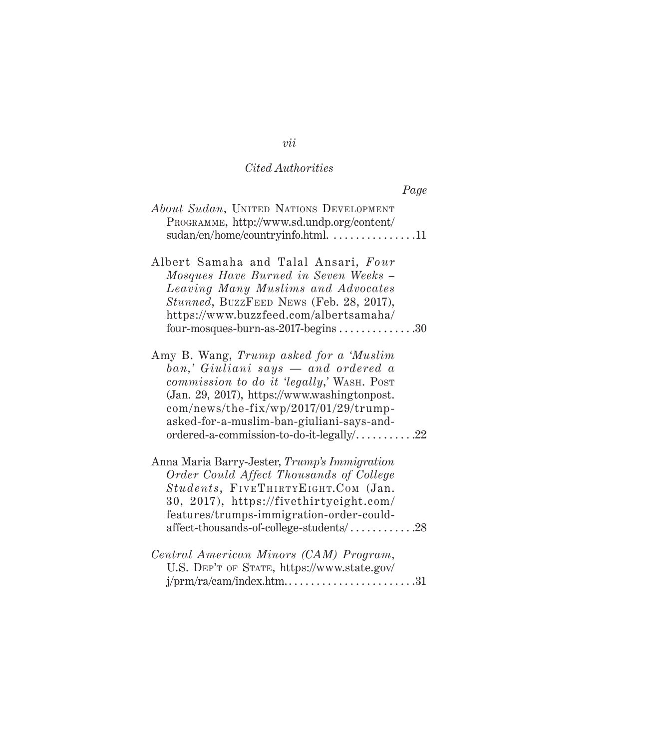| Page                                                                                                                                                                                                                                                                                                         |
|--------------------------------------------------------------------------------------------------------------------------------------------------------------------------------------------------------------------------------------------------------------------------------------------------------------|
| About Sudan, UNITED NATIONS DEVELOPMENT<br>PROGRAMME, http://www.sd.undp.org/content/<br>sudan/en/home/countryinfo.html. 11                                                                                                                                                                                  |
| Albert Samaha and Talal Ansari, Four<br>Mosques Have Burned in Seven Weeks -<br>Leaving Many Muslims and Advocates<br>Stunned, BUZZFEED NEWS (Feb. 28, 2017),<br>https://www.buzzfeed.com/albertsamaha/<br>four-mosques-burn-as-2017-begins $\dots\dots\dots\dots30$                                         |
| Amy B. Wang, Trump asked for a 'Muslim<br>ban,' Giuliani says — and ordered a<br>commission to do it 'legally,' WASH. POST<br>(Jan. 29, 2017), https://www.washingtonpost.<br>com/news/the-fix/wp/2017/01/29/trump-<br>asked-for-a-muslim-ban-giuliani-says-and-<br>ordered-a-commission-to-do-it-legally/22 |
| Anna Maria Barry-Jester, Trump's Immigration<br>Order Could Affect Thousands of College<br>Students, FIVETHIRTYEIGHT.COM (Jan.<br>30, 2017), https://fivethirtyeight.com/<br>features/trumps-immigration-order-could-<br>affect-thousands-of-college-students/28                                             |
| Central American Minors (CAM) Program,<br>U.S. DEP'T OF STATE, https://www.state.gov/                                                                                                                                                                                                                        |

# *vii*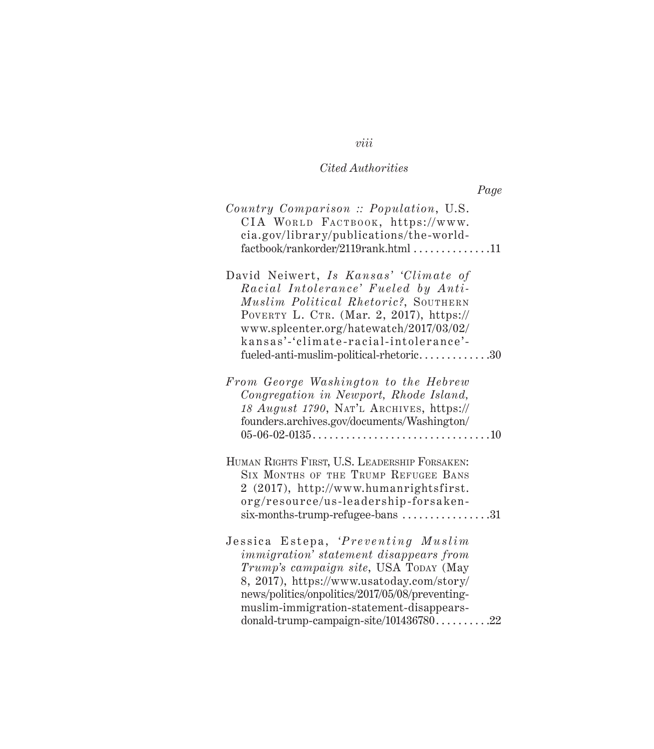| Country Comparison :: Population, U.S.<br>CIA WORLD FACTBOOK, https://www.<br>cia.gov/library/publications/the-world-<br>$factor/rankorder/2119 rank.html$ 11                                                                                                                                                       |  |
|---------------------------------------------------------------------------------------------------------------------------------------------------------------------------------------------------------------------------------------------------------------------------------------------------------------------|--|
| David Neiwert, Is Kansas' 'Climate of<br>Racial Intolerance' Fueled by Anti-<br>Muslim Political Rhetoric?, SOUTHERN<br>POVERTY L. CTR. (Mar. 2, 2017), https://<br>www.splcenter.org/hatewatch/2017/03/02/<br>kansas'-'climate-racial-intolerance'-<br>fueled-anti-muslim-political-rhetoric30                     |  |
| From George Washington to the Hebrew<br>Congregation in Newport, Rhode Island,<br>18 August 1790, NAT'L ARCHIVES, https://<br>founders.archives.gov/documents/Washington/                                                                                                                                           |  |
| HUMAN RIGHTS FIRST, U.S. LEADERSHIP FORSAKEN:<br>SIX MONTHS OF THE TRUMP REFUGEE BANS<br>2 (2017), http://www.humanrightsfirst.<br>org/resource/us-leadership-forsaken-<br>$six$ -months-trump-refugee-bans 31                                                                                                      |  |
| Jessica Estepa, 'Preventing Muslim<br><i>immigration</i> ' statement disappears from<br>Trump's campaign site, USA TODAY (May<br>8, 2017), https://www.usatoday.com/story/<br>news/politics/onpolitics/2017/05/08/preventing-<br>muslim-immigration-statement-disappears-<br>donald-trump-campaign-site/10143678022 |  |

# *viii*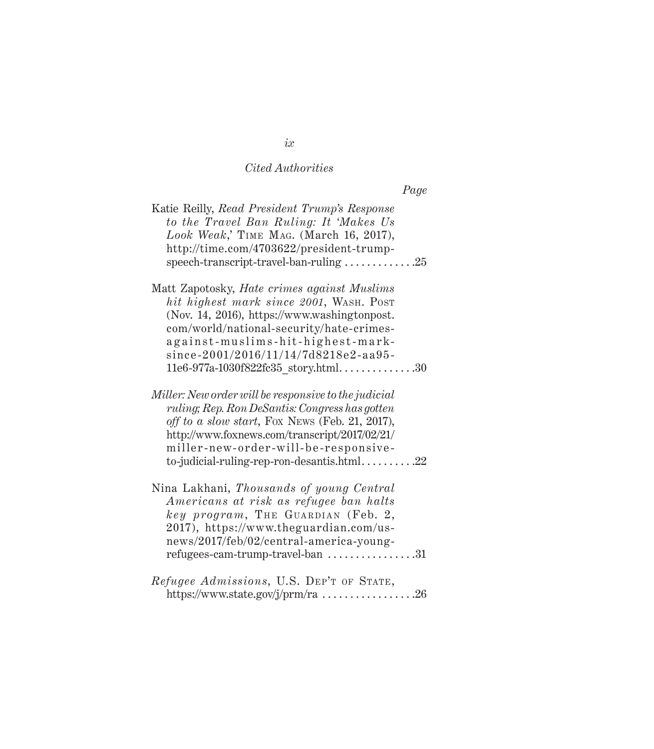| Katie Reilly, Read President Trump's Response<br>to the Travel Ban Ruling: It 'Makes Us<br>Look Weak,' TIME MAG. (March 16, 2017),<br>http://time.com/4703622/president-trump-<br>speech-transcript-travel-ban-ruling $\ldots \ldots \ldots \ldots 25$                                                                                 |  |
|----------------------------------------------------------------------------------------------------------------------------------------------------------------------------------------------------------------------------------------------------------------------------------------------------------------------------------------|--|
| Matt Zapotosky, Hate crimes against Muslims<br>hit highest mark since 2001, WASH. POST<br>(Nov. 14, 2016), https://www.washingtonpost.<br>com/world/national-security/hate-crimes-<br>against-muslims-hit-highest-mark-<br>since-2001/2016/11/14/7d8218e2-aa95-                                                                        |  |
| 11e6-977a-1030f822fc35_story.html30<br>Miller: New order will be responsive to the judicial<br>ruling; Rep. Ron DeSantis: Congress has gotten<br>off to a slow start, Fox News (Feb. 21, 2017),<br>http://www.foxnews.com/transcript/2017/02/21/<br>miller-new-order-will-be-responsive-<br>to-judicial-ruling-rep-ron-desantis.html22 |  |
| Nina Lakhani, Thousands of young Central<br>Americans at risk as refugee ban halts<br>key program, THE GUARDIAN (Feb. 2,<br>2017), https://www.theguardian.com/us-<br>news/2017/feb/02/central-america-young-<br>refugees-cam-trump-travel-ban $\dots\dots\dots\dots\dots31$                                                           |  |
| Refugee Admissions, U.S. DEP'T OF STATE,<br>https://www.state.gov/j/prm/ra 26                                                                                                                                                                                                                                                          |  |

*ix*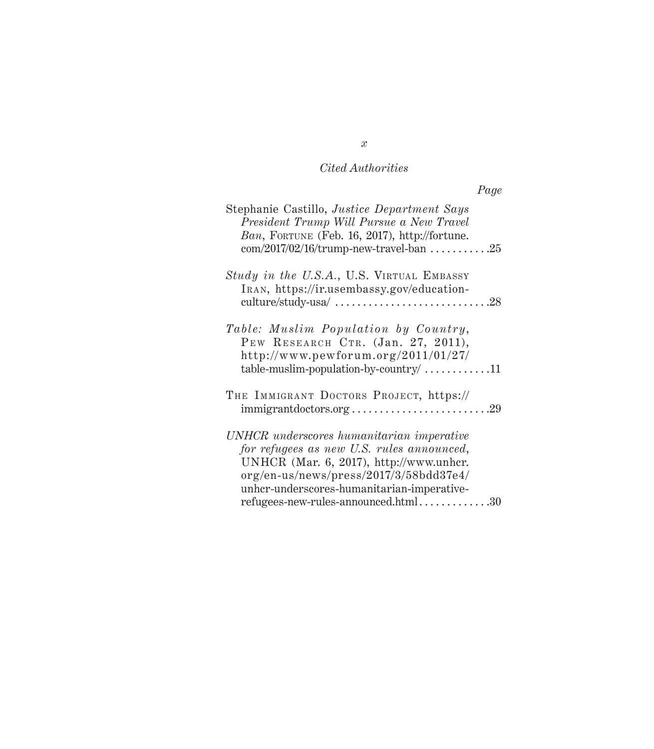| Page                                                                                                                                                                                                                      |  |
|---------------------------------------------------------------------------------------------------------------------------------------------------------------------------------------------------------------------------|--|
| Stephanie Castillo, Justice Department Says<br>President Trump Will Pursue a New Travel<br>Ban, FORTUNE (Feb. 16, 2017), http://fortune.<br>$com/2017/02/16/trump-new-travel-ban$ 25                                      |  |
| Study in the U.S.A., U.S. VIRTUAL EMBASSY<br>IRAN, https://ir.usembassy.gov/education-<br>culture/study-usa/ $\ldots \ldots \ldots \ldots \ldots \ldots \ldots \ldots \ldots$ 28                                          |  |
| Table: Muslim Population by Country,<br>PEW RESEARCH CTR. (Jan. 27, 2011),<br>http://www.pewforum.org/2011/01/27/<br>$table-muslim-population-by-counttry/$ 11                                                            |  |
| THE IMMIGRANT DOCTORS PROJECT, https://<br>$immigrant doctors.org \ldots \ldots \ldots \ldots \ldots \ldots \ldots \ldots \ldots 29$                                                                                      |  |
| UNHCR underscores humanitarian imperative<br>for refugees as new U.S. rules announced,<br>UNHCR (Mar. 6, 2017), http://www.unhcr.<br>org/en-us/news/press/2017/3/58bdd37e4/<br>unhcr-underscores-humanitarian-imperative- |  |

refugees-new-rules-announced.html...............30

*x*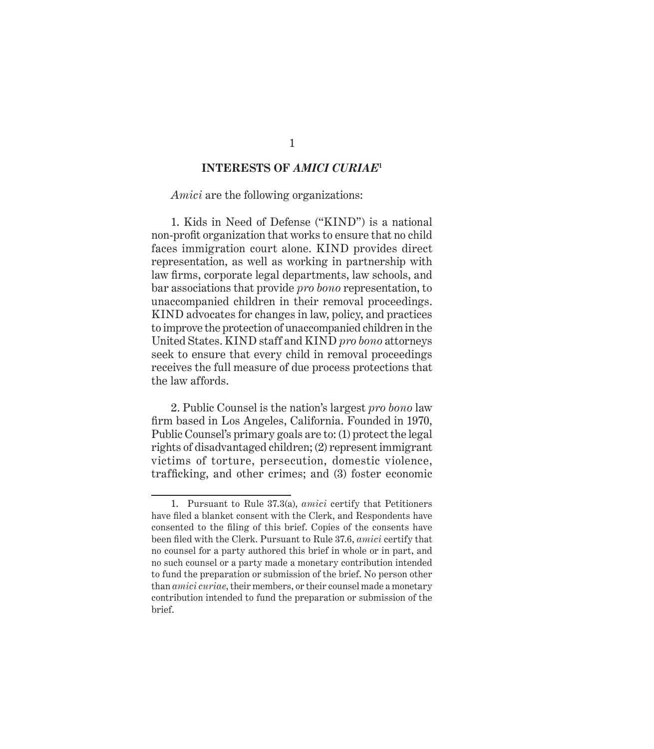#### **INTERESTS OF** *AMICI CURIAE***<sup>1</sup>**

<span id="page-11-0"></span>*Amici* are the following organizations:

1. Kids in Need of Defense ("KIND") is a national non-profit organization that works to ensure that no child faces immigration court alone. KIND provides direct representation, as well as working in partnership with law firms, corporate legal departments, law schools, and bar associations that provide *pro bono* representation, to unaccompanied children in their removal proceedings. KIND advocates for changes in law, policy, and practices to improve the protection of unaccompanied children in the United States. KIND staff and KIND *pro bono* attorneys seek to ensure that every child in removal proceedings receives the full measure of due process protections that the law affords.

2. Public Counsel is the nation's largest *pro bono* law firm based in Los Angeles, California. Founded in 1970, Public Counsel's primary goals are to: (1) protect the legal rights of disadvantaged children; (2) represent immigrant victims of torture, persecution, domestic violence, trafficking, and other crimes; and (3) foster economic

<sup>1.</sup> Pursuant to Rule 37.3(a), *amici* certify that Petitioners have filed a blanket consent with the Clerk, and Respondents have consented to the filing of this brief. Copies of the consents have been filed with the Clerk. Pursuant to Rule 37.6, *amici* certify that no counsel for a party authored this brief in whole or in part, and no such counsel or a party made a monetary contribution intended to fund the preparation or submission of the brief. No person other than *amici curiae*, their members, or their counsel made a monetary contribution intended to fund the preparation or submission of the brief.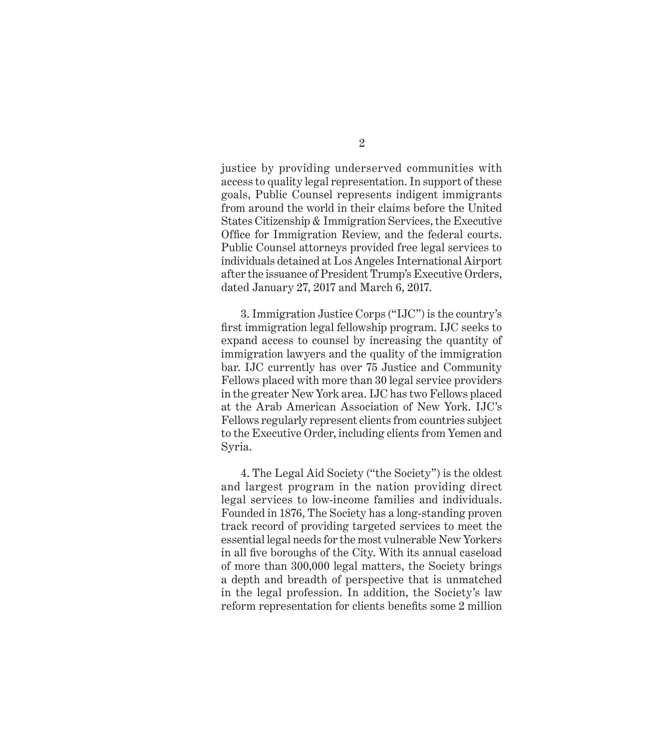justice by providing underserved communities with access to quality legal representation. In support of these goals, Public Counsel represents indigent immigrants from around the world in their claims before the United States Citizenship & Immigration Services, the Executive Office for Immigration Review, and the federal courts. Public Counsel attorneys provided free legal services to individuals detained at Los Angeles International Airport after the issuance of President Trump's Executive Orders, dated January 27, 2017 and March 6, 2017.

3. Immigration Justice Corps ("IJC") is the country's first immigration legal fellowship program. IJC seeks to expand access to counsel by increasing the quantity of immigration lawyers and the quality of the immigration bar. IJC currently has over 75 Justice and Community Fellows placed with more than 30 legal service providers in the greater New York area. IJC has two Fellows placed at the Arab American Association of New York. IJC's Fellows regularly represent clients from countries subject to the Executive Order, including clients from Yemen and Syria.

4. The Legal Aid Society ("the Society") is the oldest and largest program in the nation providing direct legal services to low-income families and individuals. Founded in 1876, The Society has a long-standing proven track record of providing targeted services to meet the essential legal needs for the most vulnerable New Yorkers in all five boroughs of the City. With its annual caseload of more than 300,000 legal matters, the Society brings a depth and breadth of perspective that is unmatched in the legal profession. In addition, the Society's law reform representation for clients benefits some 2 million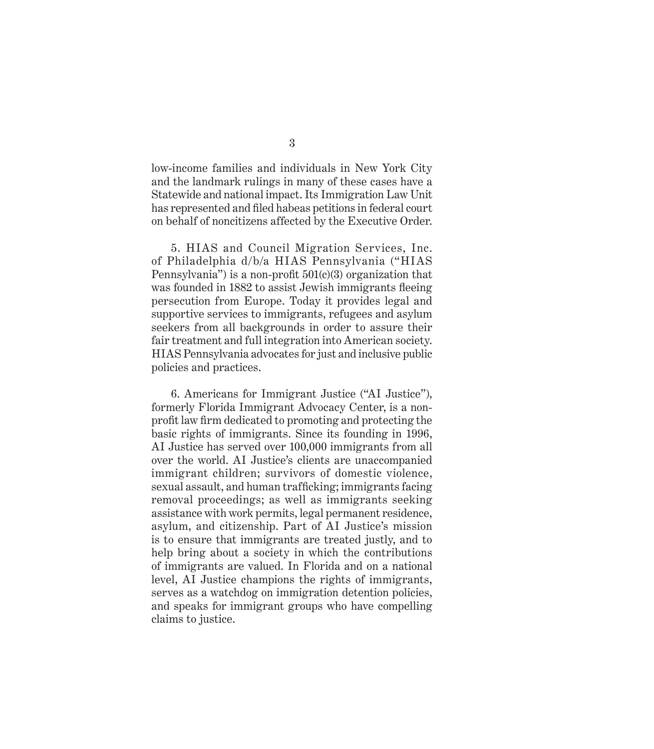low-income families and individuals in New York City and the landmark rulings in many of these cases have a Statewide and national impact. Its Immigration Law Unit has represented and filed habeas petitions in federal court on behalf of noncitizens affected by the Executive Order.

5. HIAS and Council Migration Services, Inc. of Philadelphia d/b/a HIAS Pennsylvania ("HIAS Pennsylvania") is a non-profit  $501(c)(3)$  organization that was founded in 1882 to assist Jewish immigrants fleeing persecution from Europe. Today it provides legal and supportive services to immigrants, refugees and asylum seekers from all backgrounds in order to assure their fair treatment and full integration into American society. HIAS Pennsylvania advocates for just and inclusive public policies and practices.

6. Americans for Immigrant Justice ("AI Justice"), formerly Florida Immigrant Advocacy Center, is a nonprofit law firm dedicated to promoting and protecting the basic rights of immigrants. Since its founding in 1996, AI Justice has served over 100,000 immigrants from all over the world. AI Justice's clients are unaccompanied immigrant children; survivors of domestic violence, sexual assault, and human trafficking; immigrants facing removal proceedings; as well as immigrants seeking assistance with work permits, legal permanent residence, asylum, and citizenship. Part of AI Justice's mission is to ensure that immigrants are treated justly, and to help bring about a society in which the contributions of immigrants are valued. In Florida and on a national level, AI Justice champions the rights of immigrants, serves as a watchdog on immigration detention policies, and speaks for immigrant groups who have compelling claims to justice.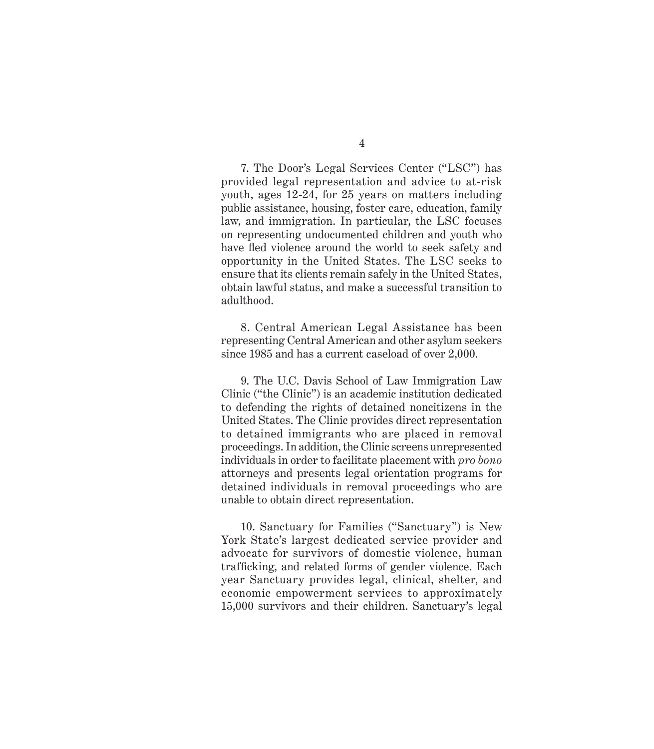4

7. The Door's Legal Services Center ("LSC") has provided legal representation and advice to at-risk youth, ages 12-24, for 25 years on matters including public assistance, housing, foster care, education, family law, and immigration. In particular, the LSC focuses on representing undocumented children and youth who have fled violence around the world to seek safety and opportunity in the United States. The LSC seeks to ensure that its clients remain safely in the United States, obtain lawful status, and make a successful transition to adulthood.

8. Central American Legal Assistance has been representing Central American and other asylum seekers since 1985 and has a current caseload of over 2,000.

9. The U.C. Davis School of Law Immigration Law Clinic ("the Clinic") is an academic institution dedicated to defending the rights of detained noncitizens in the United States. The Clinic provides direct representation to detained immigrants who are placed in removal proceedings. In addition, the Clinic screens unrepresented individuals in order to facilitate placement with *pro bono* attorneys and presents legal orientation programs for detained individuals in removal proceedings who are unable to obtain direct representation.

10. Sanctuary for Families ("Sanctuary") is New York State's largest dedicated service provider and advocate for survivors of domestic violence, human trafficking, and related forms of gender violence. Each year Sanctuary provides legal, clinical, shelter, and economic empowerment services to approximately 15,000 survivors and their children. Sanctuary's legal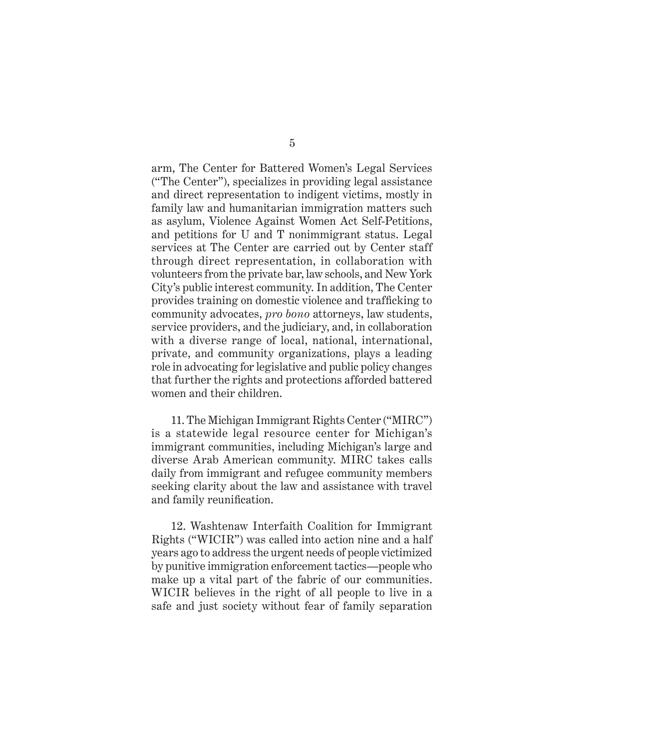arm, The Center for Battered Women's Legal Services ("The Center"), specializes in providing legal assistance and direct representation to indigent victims, mostly in family law and humanitarian immigration matters such as asylum, Violence Against Women Act Self-Petitions, and petitions for U and T nonimmigrant status. Legal services at The Center are carried out by Center staff through direct representation, in collaboration with volunteers from the private bar, law schools, and New York City's public interest community. In addition, The Center provides training on domestic violence and trafficking to community advocates, *pro bono* attorneys, law students, service providers, and the judiciary, and, in collaboration with a diverse range of local, national, international, private, and community organizations, plays a leading role in advocating for legislative and public policy changes that further the rights and protections afforded battered women and their children.

11. The Michigan Immigrant Rights Center ("MIRC") is a statewide legal resource center for Michigan's immigrant communities, including Michigan's large and diverse Arab American community. MIRC takes calls daily from immigrant and refugee community members seeking clarity about the law and assistance with travel and family reunification.

12. Washtenaw Interfaith Coalition for Immigrant Rights ("WICIR") was called into action nine and a half years ago to address the urgent needs of people victimized by punitive immigration enforcement tactics—people who make up a vital part of the fabric of our communities. WICIR believes in the right of all people to live in a safe and just society without fear of family separation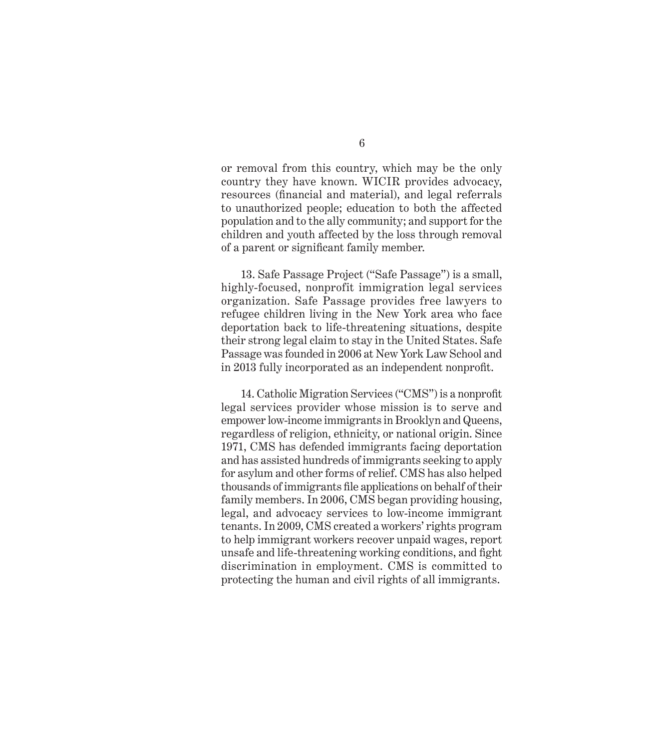or removal from this country, which may be the only country they have known. WICIR provides advocacy, resources (financial and material), and legal referrals to unauthorized people; education to both the affected population and to the ally community; and support for the children and youth affected by the loss through removal of a parent or significant family member.

13. Safe Passage Project ("Safe Passage") is a small, highly-focused, nonprofit immigration legal services organization. Safe Passage provides free lawyers to refugee children living in the New York area who face deportation back to life-threatening situations, despite their strong legal claim to stay in the United States. Safe Passage was founded in 2006 at New York Law School and in 2013 fully incorporated as an independent nonprofit.

14. Catholic Migration Services ("CMS") is a nonprofit legal services provider whose mission is to serve and empower low-income immigrants in Brooklyn and Queens, regardless of religion, ethnicity, or national origin. Since 1971, CMS has defended immigrants facing deportation and has assisted hundreds of immigrants seeking to apply for asylum and other forms of relief. CMS has also helped thousands of immigrants file applications on behalf of their family members. In 2006, CMS began providing housing, legal, and advocacy services to low-income immigrant tenants. In 2009, CMS created a workers' rights program to help immigrant workers recover unpaid wages, report unsafe and life-threatening working conditions, and fight discrimination in employment. CMS is committed to protecting the human and civil rights of all immigrants.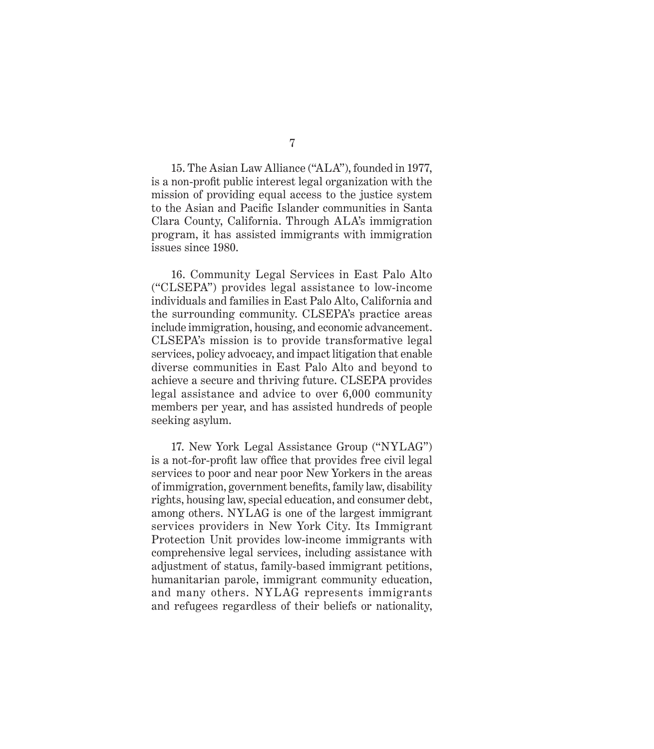15. The Asian Law Alliance ("ALA"), founded in 1977, is a non-profit public interest legal organization with the mission of providing equal access to the justice system to the Asian and Pacific Islander communities in Santa Clara County, California. Through ALA's immigration program, it has assisted immigrants with immigration issues since 1980.

16. Community Legal Services in East Palo Alto ("CLSEPA") provides legal assistance to low-income individuals and families in East Palo Alto, California and the surrounding community. CLSEPA's practice areas include immigration, housing, and economic advancement. CLSEPA's mission is to provide transformative legal services, policy advocacy, and impact litigation that enable diverse communities in East Palo Alto and beyond to achieve a secure and thriving future. CLSEPA provides legal assistance and advice to over 6,000 community members per year, and has assisted hundreds of people seeking asylum.

17. New York Legal Assistance Group ("NYLAG") is a not-for-profit law office that provides free civil legal services to poor and near poor New Yorkers in the areas of immigration, government benefits, family law, disability rights, housing law, special education, and consumer debt, among others. NYLAG is one of the largest immigrant services providers in New York City. Its Immigrant Protection Unit provides low-income immigrants with comprehensive legal services, including assistance with adjustment of status, family-based immigrant petitions, humanitarian parole, immigrant community education, and many others. NYLAG represents immigrants and refugees regardless of their beliefs or nationality,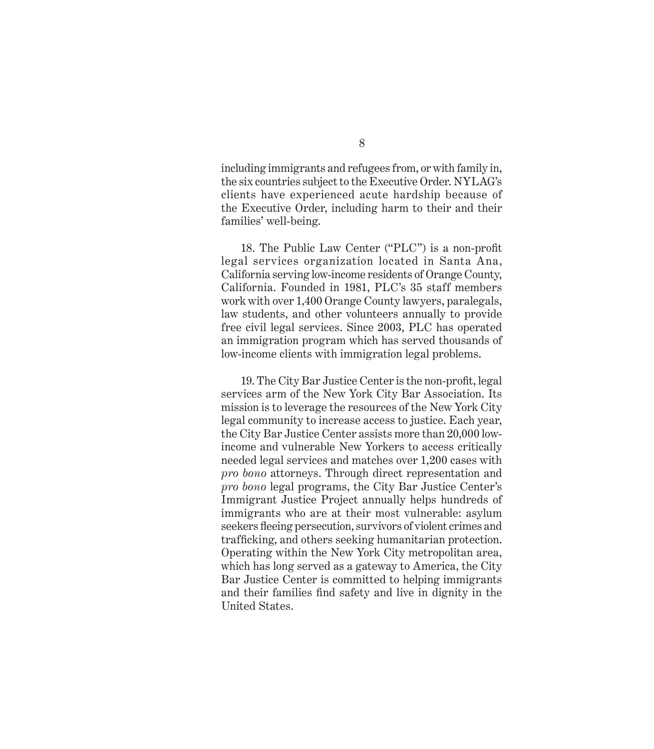including immigrants and refugees from, or with family in, the six countries subject to the Executive Order. NYLAG's clients have experienced acute hardship because of the Executive Order, including harm to their and their families' well-being.

18. The Public Law Center ("PLC") is a non-profit legal services organization located in Santa Ana, California serving low-income residents of Orange County, California. Founded in 1981, PLC's 35 staff members work with over 1,400 Orange County lawyers, paralegals, law students, and other volunteers annually to provide free civil legal services. Since 2003, PLC has operated an immigration program which has served thousands of low-income clients with immigration legal problems.

19. The City Bar Justice Center is the non-profit, legal services arm of the New York City Bar Association. Its mission is to leverage the resources of the New York City legal community to increase access to justice. Each year, the City Bar Justice Center assists more than 20,000 lowincome and vulnerable New Yorkers to access critically needed legal services and matches over 1,200 cases with *pro bono* attorneys. Through direct representation and *pro bono* legal programs, the City Bar Justice Center's Immigrant Justice Project annually helps hundreds of immigrants who are at their most vulnerable: asylum seekers fleeing persecution, survivors of violent crimes and trafficking, and others seeking humanitarian protection. Operating within the New York City metropolitan area, which has long served as a gateway to America, the City Bar Justice Center is committed to helping immigrants and their families find safety and live in dignity in the United States.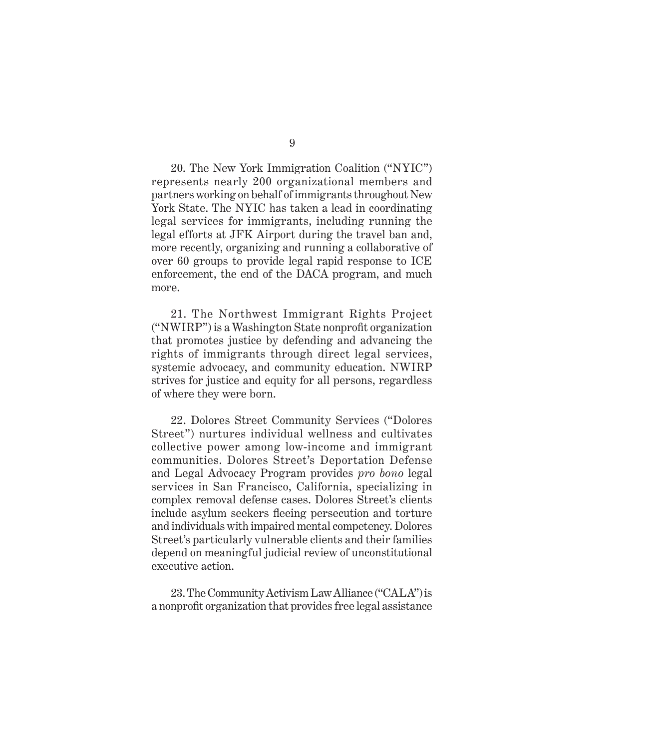20. The New York Immigration Coalition ("NYIC") represents nearly 200 organizational members and partners working on behalf of immigrants throughout New York State. The NYIC has taken a lead in coordinating legal services for immigrants, including running the legal efforts at JFK Airport during the travel ban and, more recently, organizing and running a collaborative of over 60 groups to provide legal rapid response to ICE enforcement, the end of the DACA program, and much more.

21. The Northwest Immigrant Rights Project ("NWIRP") is a Washington State nonprofit organization that promotes justice by defending and advancing the rights of immigrants through direct legal services, systemic advocacy, and community education. NWIRP strives for justice and equity for all persons, regardless of where they were born.

22. Dolores Street Community Services ("Dolores Street") nurtures individual wellness and cultivates collective power among low-income and immigrant communities. Dolores Street's Deportation Defense and Legal Advocacy Program provides *pro bono* legal services in San Francisco, California, specializing in complex removal defense cases. Dolores Street's clients include asylum seekers fleeing persecution and torture and individuals with impaired mental competency. Dolores Street's particularly vulnerable clients and their families depend on meaningful judicial review of unconstitutional executive action.

23. The Community Activism Law Alliance ("CALA") is a nonprofit organization that provides free legal assistance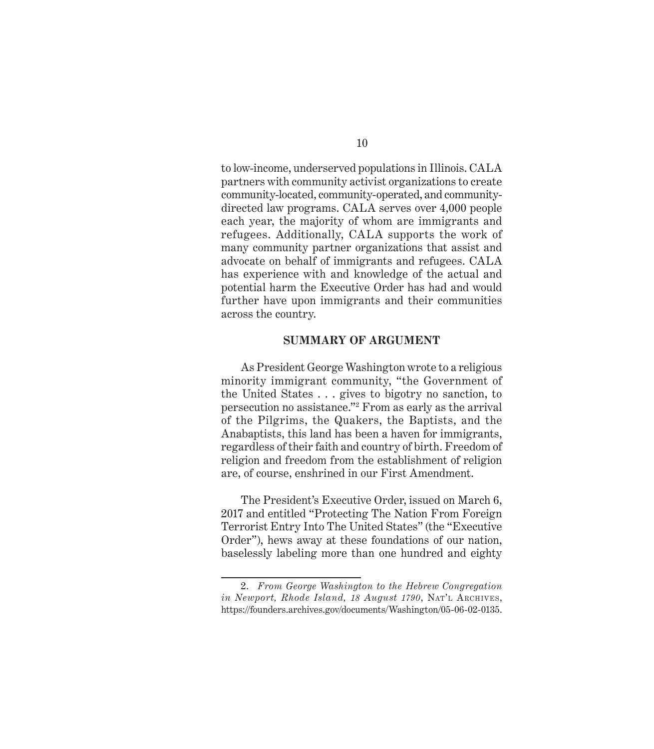<span id="page-20-0"></span>to low-income, underserved populations in Illinois. CALA partners with community activist organizations to create community-located, community-operated, and communitydirected law programs. CALA serves over 4,000 people each year, the majority of whom are immigrants and refugees. Additionally, CALA supports the work of many community partner organizations that assist and advocate on behalf of immigrants and refugees. CALA has experience with and knowledge of the actual and potential harm the Executive Order has had and would further have upon immigrants and their communities across the country.

#### **SUMMARY OF ARGUMENT**

As President George Washington wrote to a religious minority immigrant community, "the Government of the United States . . . gives to bigotry no sanction, to persecution no assistance."2 From as early as the arrival of the Pilgrims, the Quakers, the Baptists, and the Anabaptists, this land has been a haven for immigrants, regardless of their faith and country of birth. Freedom of religion and freedom from the establishment of religion are, of course, enshrined in our First Amendment.

The President's Executive Order, issued on March 6, 2017 and entitled "Protecting The Nation From Foreign Terrorist Entry Into The United States" (the "Executive Order"), hews away at these foundations of our nation, baselessly labeling more than one hundred and eighty

<sup>2.</sup> *From George Washington to the Hebrew Congregation in Newport, Rhode Island, 18 August 1790*, Nat'l Archives, <https://founders.archives.gov/documents/Washington/05-06-02-0135>.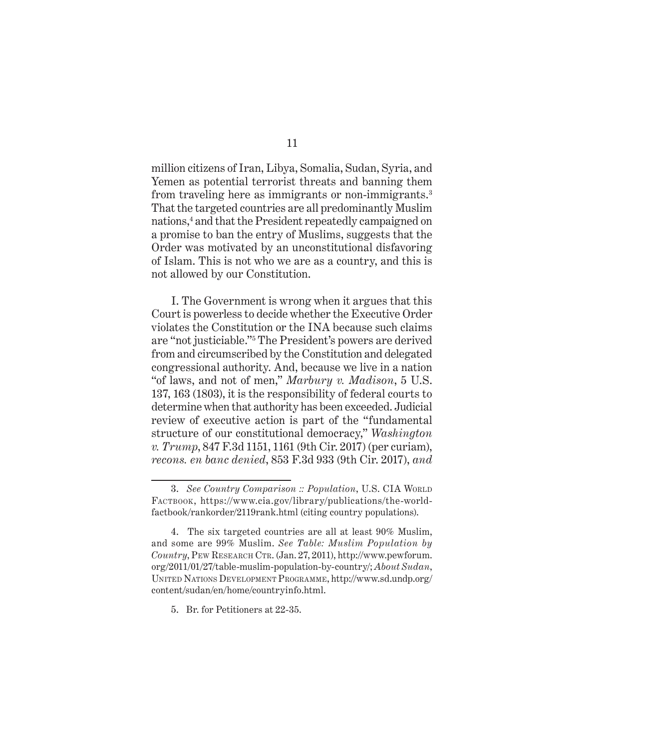million citizens of Iran, Libya, Somalia, Sudan, Syria, and Yemen as potential terrorist threats and banning them from traveling here as immigrants or non-immigrants.<sup>3</sup> That the targeted countries are all predominantly Muslim nations,4 and that the President repeatedly campaigned on a promise to ban the entry of Muslims, suggests that the Order was motivated by an unconstitutional disfavoring of Islam. This is not who we are as a country, and this is not allowed by our Constitution.

I. The Government is wrong when it argues that this Court is powerless to decide whether the Executive Order violates the Constitution or the INA because such claims are "not justiciable."5 The President's powers are derived from and circumscribed by the Constitution and delegated congressional authority. And, because we live in a nation "of laws, and not of men," *Marbury v. Madison*, 5 U.S. 137, 163 (1803), it is the responsibility of federal courts to determine when that authority has been exceeded. Judicial review of executive action is part of the "fundamental structure of our constitutional democracy," *Washington v. Trump*, 847 F.3d 1151, 1161 (9th Cir. 2017) (per curiam), *recons. en banc denied*, 853 F.3d 933 (9th Cir. 2017), *and*

5. Br. for Petitioners at 22-35.

<sup>3.</sup> See Country Comparison :: Population, U.S. CIA WORLD FACTBOOK, https://www.cia.gov/library/publications/the-worldfactbook/rankorder/2119rank.html (citing country populations).

<sup>4.</sup> The six targeted countries are all at least 90% Muslim, and some are 99% Muslim. *See Table: Muslim Population by Country*, Pew Research Ctr. (Jan. 27, 2011), http://www.pewforum. org/2011/01/27/table-muslim-population-by-country/; *About Sudan*, United Nations Development Programme, http://www.sd.undp.org/ content/sudan/en/home/countryinfo.html.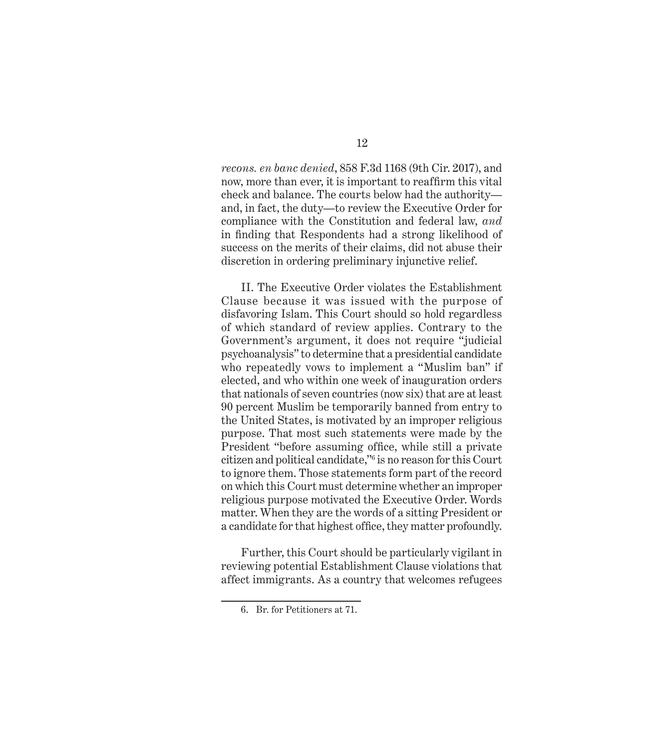*recons. en banc denied*, 858 F.3d 1168 (9th Cir. 2017), and now, more than ever, it is important to reaffirm this vital check and balance. The courts below had the authority and, in fact, the duty—to review the Executive Order for compliance with the Constitution and federal law, *and* in finding that Respondents had a strong likelihood of success on the merits of their claims, did not abuse their discretion in ordering preliminary injunctive relief.

II. The Executive Order violates the Establishment Clause because it was issued with the purpose of disfavoring Islam. This Court should so hold regardless of which standard of review applies. Contrary to the Government's argument, it does not require "judicial psychoanalysis" to determine that a presidential candidate who repeatedly vows to implement a "Muslim ban" if elected, and who within one week of inauguration orders that nationals of seven countries (now six) that are at least 90 percent Muslim be temporarily banned from entry to the United States, is motivated by an improper religious purpose. That most such statements were made by the President "before assuming office, while still a private citizen and political candidate,"6 is no reason for this Court to ignore them. Those statements form part of the record on which this Court must determine whether an improper religious purpose motivated the Executive Order. Words matter. When they are the words of a sitting President or a candidate for that highest office, they matter profoundly.

Further, this Court should be particularly vigilant in reviewing potential Establishment Clause violations that affect immigrants. As a country that welcomes refugees

<sup>6.</sup> Br. for Petitioners at 71.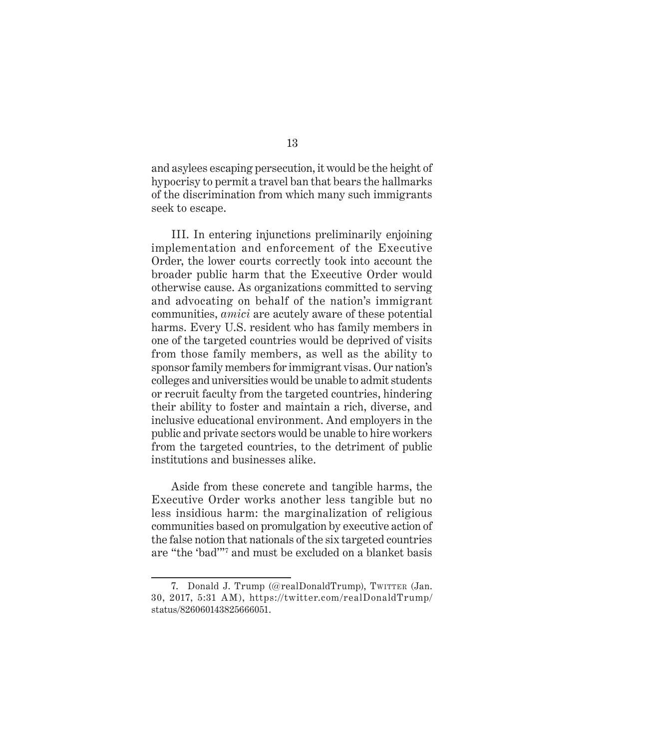and asylees escaping persecution, it would be the height of hypocrisy to permit a travel ban that bears the hallmarks of the discrimination from which many such immigrants seek to escape.

III. In entering injunctions preliminarily enjoining implementation and enforcement of the Executive Order, the lower courts correctly took into account the broader public harm that the Executive Order would otherwise cause. As organizations committed to serving and advocating on behalf of the nation's immigrant communities, *amici* are acutely aware of these potential harms. Every U.S. resident who has family members in one of the targeted countries would be deprived of visits from those family members, as well as the ability to sponsor family members for immigrant visas. Our nation's colleges and universities would be unable to admit students or recruit faculty from the targeted countries, hindering their ability to foster and maintain a rich, diverse, and inclusive educational environment. And employers in the public and private sectors would be unable to hire workers from the targeted countries, to the detriment of public institutions and businesses alike.

Aside from these concrete and tangible harms, the Executive Order works another less tangible but no less insidious harm: the marginalization of religious communities based on promulgation by executive action of the false notion that nationals of the six targeted countries are "the 'bad'"7 and must be excluded on a blanket basis

<sup>7.</sup> Donald J. Trump (@realDonaldTrump), Twitter (Jan. 30, 2017, 5:31 AM), [https://twitter.com/realDonaldTrump/](https://twitter.com/realDonaldTrump/status/826060143825666051) [status/826060143825666051](https://twitter.com/realDonaldTrump/status/826060143825666051).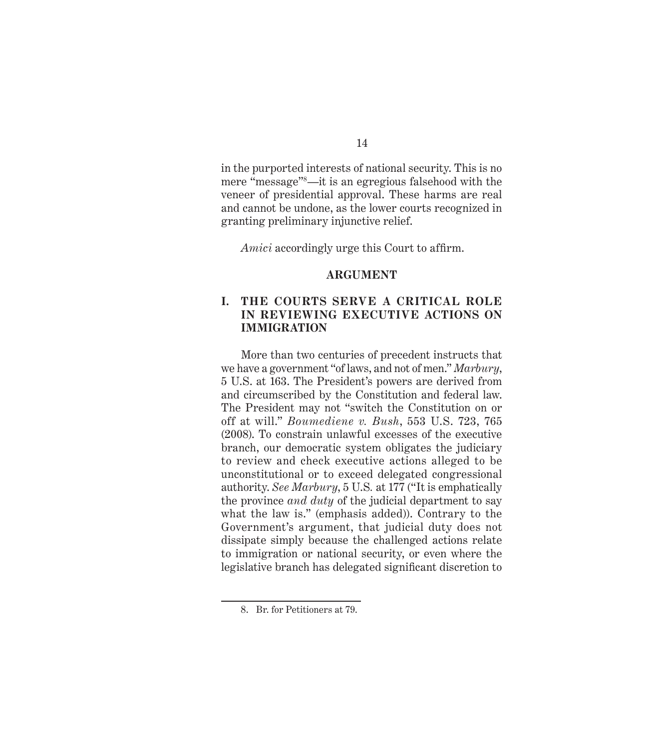<span id="page-24-0"></span>in the purported interests of national security. This is no mere "message"8—it is an egregious falsehood with the veneer of presidential approval. These harms are real and cannot be undone, as the lower courts recognized in granting preliminary injunctive relief.

*Amici* accordingly urge this Court to affirm.

#### **ARGUMENT**

#### **I. THE COURTS SERVE A CRITICAL ROLE IN REVIEWING EXECUTIVE ACTIONS ON IMMIGRATION**

More than two centuries of precedent instructs that we have a government "of laws, and not of men." *Marbury*, 5 U.S. at 163. The President's powers are derived from and circumscribed by the Constitution and federal law. The President may not "switch the Constitution on or off at will." *Boumediene v. Bush*, 553 U.S. 723, 765 (2008). To constrain unlawful excesses of the executive branch, our democratic system obligates the judiciary to review and check executive actions alleged to be unconstitutional or to exceed delegated congressional authority. *See Marbury*, 5 U.S*.* at 177 ("It is emphatically the province *and duty* of the judicial department to say what the law is." (emphasis added)). Contrary to the Government's argument, that judicial duty does not dissipate simply because the challenged actions relate to immigration or national security, or even where the legislative branch has delegated significant discretion to

<sup>8.</sup> Br. for Petitioners at 79.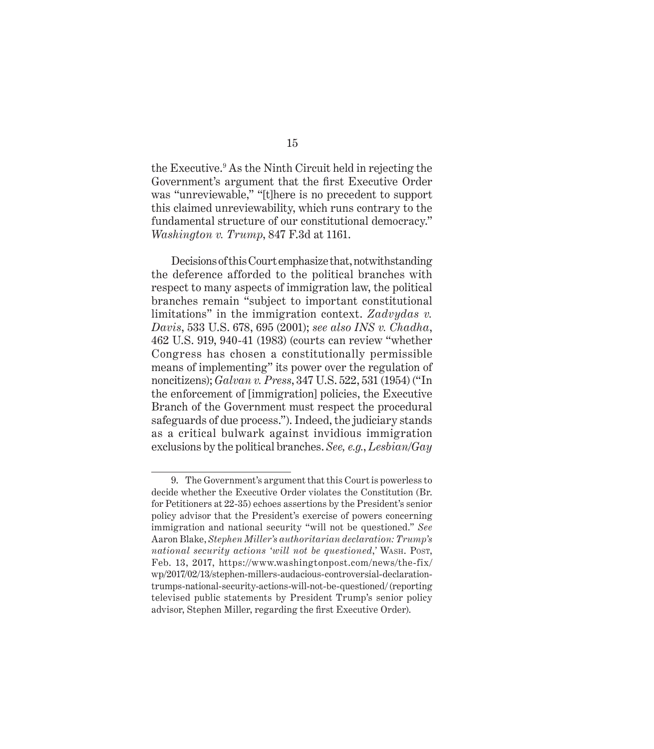the Executive.9 As the Ninth Circuit held in rejecting the Government's argument that the first Executive Order was "unreviewable," "[t]here is no precedent to support this claimed unreviewability, which runs contrary to the fundamental structure of our constitutional democracy." *Washington v. Trump*, 847 F.3d at 1161.

Decisions of this Court emphasize that, notwithstanding the deference afforded to the political branches with respect to many aspects of immigration law, the political branches remain "subject to important constitutional limitations" in the immigration context. *Zadvydas v. Davis*, 533 U.S. 678, 695 (2001); *see also INS v. Chadha*, 462 U.S. 919, 940-41 (1983) (courts can review "whether Congress has chosen a constitutionally permissible means of implementing" its power over the regulation of noncitizens); *Galvan v. Press*, 347 U.S. 522, 531 (1954) ("In the enforcement of [immigration] policies, the Executive Branch of the Government must respect the procedural safeguards of due process."). Indeed, the judiciary stands as a critical bulwark against invidious immigration exclusions by the political branches. *See, e.g.*, *Lesbian/Gay* 

<sup>9.</sup> The Government's argument that this Court is powerless to decide whether the Executive Order violates the Constitution (Br. for Petitioners at 22-35) echoes assertions by the President's senior policy advisor that the President's exercise of powers concerning immigration and national security "will not be questioned." *See* Aaron Blake, *Stephen Miller's authoritarian declaration: Trump's national security actions 'will not be questioned,'* WASH. Post, Feb. 13, 2017, https://www.washingtonpost.com/news/the-fix/ wp/2017/02/13/stephen-millers-audacious-controversial-declarationtrumps-national-security-actions-will-not-be-questioned/ (reporting televised public statements by President Trump's senior policy advisor, Stephen Miller, regarding the first Executive Order).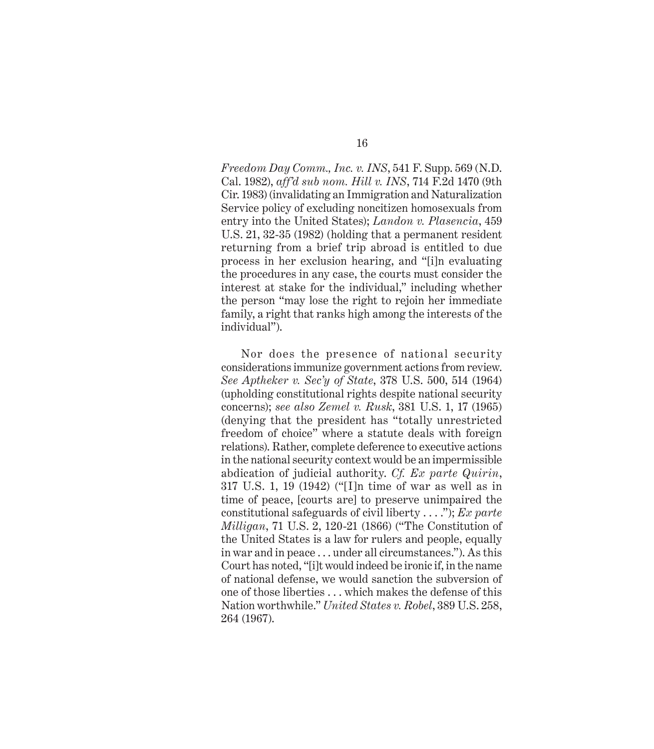*Freedom Day Comm., Inc. v. INS*, 541 F. Supp. 569 (N.D. Cal. 1982), *aff'd sub nom. Hill v. INS*, 714 F.2d 1470 (9th Cir. 1983) (invalidating an Immigration and Naturalization Service policy of excluding noncitizen homosexuals from entry into the United States); *Landon v. Plasencia*, 459 U.S. 21, 32-35 (1982) (holding that a permanent resident returning from a brief trip abroad is entitled to due process in her exclusion hearing, and "[i]n evaluating the procedures in any case, the courts must consider the interest at stake for the individual," including whether the person "may lose the right to rejoin her immediate family, a right that ranks high among the interests of the individual").

Nor does the presence of national security considerations immunize government actions from review. *See Aptheker v. Sec'y of State*, 378 U.S. 500, 514 (1964) (upholding constitutional rights despite national security concerns); *see also Zemel v. Rusk*, 381 U.S. 1, 17 (1965) (denying that the president has "totally unrestricted freedom of choice" where a statute deals with foreign relations). Rather, complete deference to executive actions in the national security context would be an impermissible abdication of judicial authority. *Cf. Ex parte Quirin*, 317 U.S. 1, 19 (1942) ("[I]n time of war as well as in time of peace, [courts are] to preserve unimpaired the constitutional safeguards of civil liberty . . . ."); *Ex parte Milligan*, 71 U.S. 2, 120-21 (1866) ("The Constitution of the United States is a law for rulers and people, equally in war and in peace . . . under all circumstances."). As this Court has noted, "[i]t would indeed be ironic if, in the name of national defense, we would sanction the subversion of one of those liberties . . . which makes the defense of this Nation worthwhile." *United States v. Robel*, 389 U.S. 258, 264 (1967).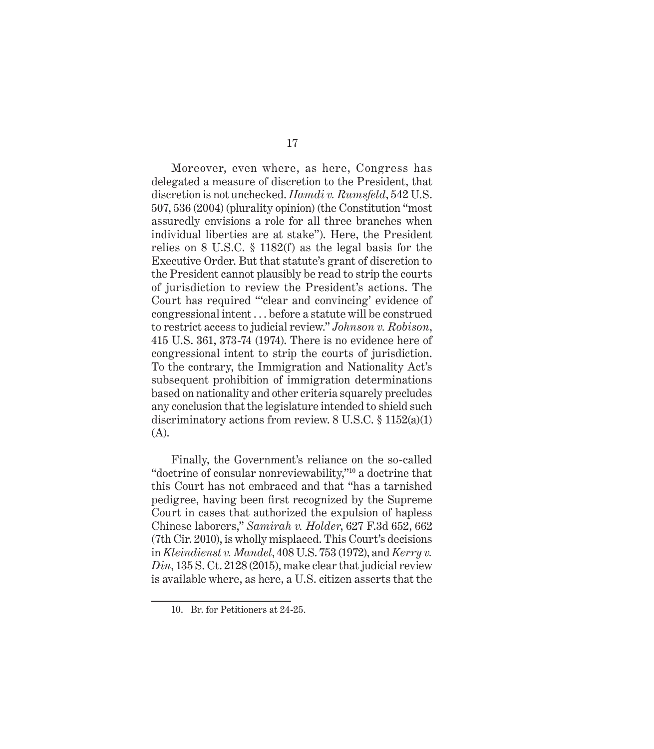Moreover, even where, as here, Congress has delegated a measure of discretion to the President, that discretion is not unchecked. *Hamdi v. Rumsfeld*, 542 U.S. 507, 536 (2004) (plurality opinion) (the Constitution "most assuredly envisions a role for all three branches when individual liberties are at stake"). Here, the President relies on 8 U.S.C. § 1182(f) as the legal basis for the Executive Order. But that statute's grant of discretion to the President cannot plausibly be read to strip the courts of jurisdiction to review the President's actions. The Court has required "'clear and convincing' evidence of congressional intent . . . before a statute will be construed to restrict access to judicial review." *Johnson v. Robison*, 415 U.S. 361, 373-74 (1974). There is no evidence here of congressional intent to strip the courts of jurisdiction. To the contrary, the Immigration and Nationality Act's subsequent prohibition of immigration determinations based on nationality and other criteria squarely precludes any conclusion that the legislature intended to shield such discriminatory actions from review. 8 U.S.C. § 1152(a)(1) (A).

Finally, the Government's reliance on the so-called "doctrine of consular nonreviewability,"10 a doctrine that this Court has not embraced and that "has a tarnished pedigree, having been first recognized by the Supreme Court in cases that authorized the expulsion of hapless Chinese laborers," *Samirah v. Holder*, 627 F.3d 652, 662 (7th Cir. 2010), is wholly misplaced. This Court's decisions in *Kleindienst v. Mandel*, 408 U.S. 753 (1972), and *Kerry v. Din*, 135 S. Ct. 2128 (2015), make clear that judicial review is available where, as here, a U.S. citizen asserts that the

<sup>10.</sup> Br. for Petitioners at 24-25.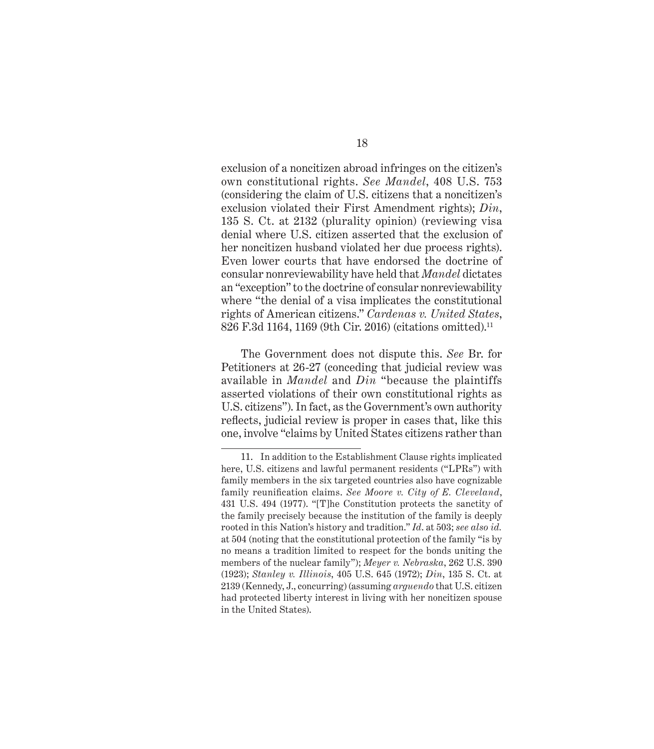exclusion of a noncitizen abroad infringes on the citizen's own constitutional rights. *See Mandel*, 408 U.S. 753 (considering the claim of U.S. citizens that a noncitizen's exclusion violated their First Amendment rights); *Din*, 135 S. Ct. at 2132 (plurality opinion) (reviewing visa denial where U.S. citizen asserted that the exclusion of her noncitizen husband violated her due process rights). Even lower courts that have endorsed the doctrine of consular nonreviewability have held that *Mandel* dictates an "exception" to the doctrine of consular nonreviewability where "the denial of a visa implicates the constitutional rights of American citizens." *Cardenas v. United States*, 826 F.3d 1164, 1169 (9th Cir. 2016) (citations omitted).11

The Government does not dispute this. *See* Br. for Petitioners at 26-27 (conceding that judicial review was available in *Mandel* and *Din* "because the plaintiffs asserted violations of their own constitutional rights as U.S. citizens"). In fact, as the Government's own authority reflects, judicial review is proper in cases that, like this one, involve "claims by United States citizens rather than

<sup>11.</sup> In addition to the Establishment Clause rights implicated here, U.S. citizens and lawful permanent residents ("LPRs") with family members in the six targeted countries also have cognizable family reunification claims. *See Moore v. City of E. Cleveland*, 431 U.S. 494 (1977). "[T]he Constitution protects the sanctity of the family precisely because the institution of the family is deeply rooted in this Nation's history and tradition." *Id*. at 503; *see also id.* at 504 (noting that the constitutional protection of the family "is by no means a tradition limited to respect for the bonds uniting the members of the nuclear family"); *Meyer v. Nebraska*, 262 U.S. 390 (1923); *Stanley v. Illinois*, 405 U.S. 645 (1972); *Din*, 135 S. Ct. at 2139 (Kennedy, J., concurring) (assuming *arguendo* that U.S. citizen had protected liberty interest in living with her noncitizen spouse in the United States).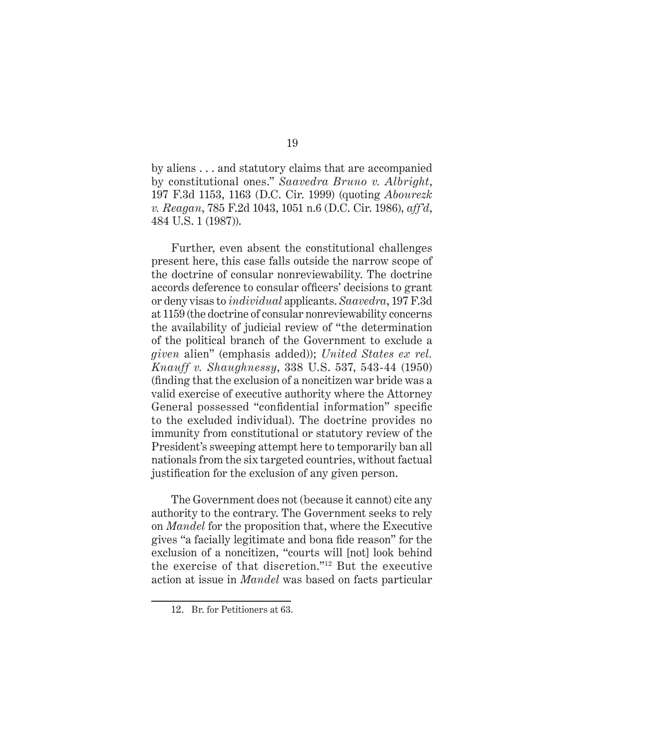by aliens . . . and statutory claims that are accompanied by constitutional ones." *Saavedra Bruno v. Albright*, 197 F.3d 1153, 1163 (D.C. Cir. 1999) (quoting *Abourezk v. Reagan*, 785 F.2d 1043, 1051 n.6 (D.C. Cir. 1986), *aff'd*, 484 U.S. 1 (1987)).

Further, even absent the constitutional challenges present here, this case falls outside the narrow scope of the doctrine of consular nonreviewability. The doctrine accords deference to consular officers' decisions to grant or deny visas to *individual* applicants. *Saavedra*, 197 F.3d at 1159 (the doctrine of consular nonreviewability concerns the availability of judicial review of "the determination of the political branch of the Government to exclude a *given* alien" (emphasis added)); *United States ex rel. Knauff v. Shaughnessy*, 338 U.S. 537, 543-44 (1950) (finding that the exclusion of a noncitizen war bride was a valid exercise of executive authority where the Attorney General possessed "confidential information" specific to the excluded individual). The doctrine provides no immunity from constitutional or statutory review of the President's sweeping attempt here to temporarily ban all nationals from the six targeted countries, without factual justification for the exclusion of any given person.

The Government does not (because it cannot) cite any authority to the contrary. The Government seeks to rely on *Mandel* for the proposition that, where the Executive gives "a facially legitimate and bona fide reason" for the exclusion of a noncitizen, "courts will [not] look behind the exercise of that discretion."12 But the executive action at issue in *Mandel* was based on facts particular

<sup>12.</sup> Br. for Petitioners at 63.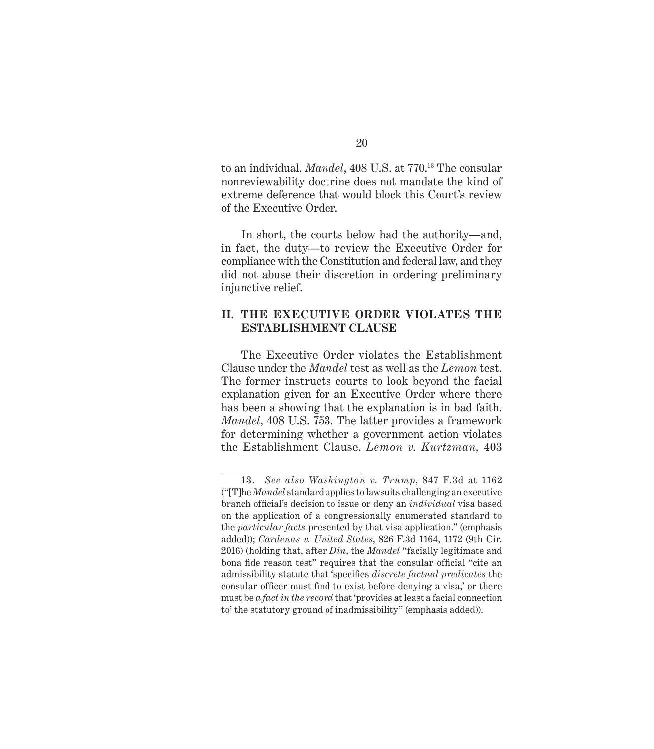<span id="page-30-0"></span>to an individual. *Mandel*, 408 U.S. at 770.13 The consular nonreviewability doctrine does not mandate the kind of extreme deference that would block this Court's review of the Executive Order.

In short, the courts below had the authority—and, in fact, the duty—to review the Executive Order for compliance with the Constitution and federal law, and they did not abuse their discretion in ordering preliminary injunctive relief.

#### **II. THE EXECUTIVE ORDER VIOLATES THE ESTABLISHMENT CLAUSE**

The Executive Order violates the Establishment Clause under the *Mandel* test as well as the *Lemon* test. The former instructs courts to look beyond the facial explanation given for an Executive Order where there has been a showing that the explanation is in bad faith. *Mandel*, 408 U.S. 753. The latter provides a framework for determining whether a government action violates the Establishment Clause. *Lemon v. Kurtzman,* 403

<sup>13.</sup> *See also Washington v. Trump*, 847 F.3d at 1162 ("[T]he *Mandel* standard applies to lawsuits challenging an executive branch official's decision to issue or deny an *individual* visa based on the application of a congressionally enumerated standard to the *particular facts* presented by that visa application." (emphasis added)); *Cardenas v. United States*, 826 F.3d 1164, 1172 (9th Cir. 2016) (holding that, after *Din*, the *Mandel* "facially legitimate and bona fide reason test" requires that the consular official "cite an admissibility statute that 'specifies *discrete factual predicates* the consular officer must find to exist before denying a visa,' or there must be *a fact in the record* that 'provides at least a facial connection to' the statutory ground of inadmissibility" (emphasis added)).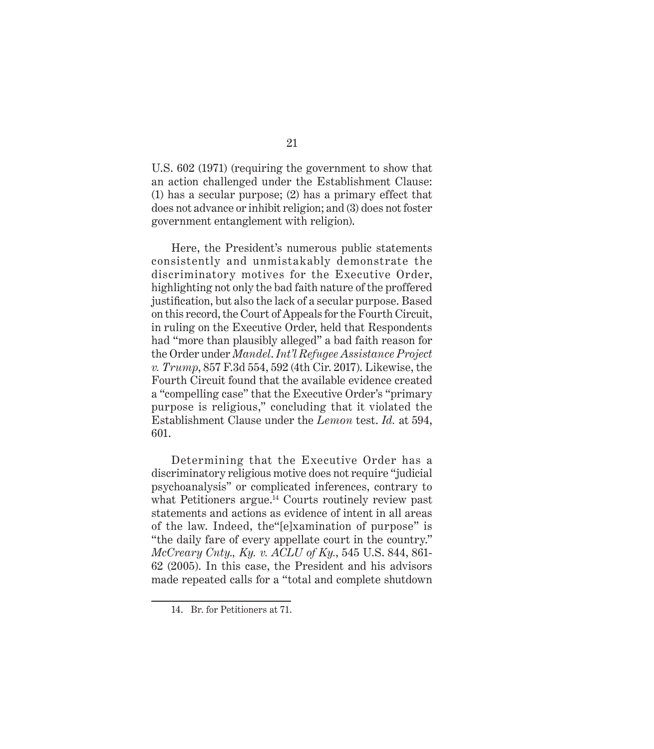U.S. 602 (1971) (requiring the government to show that an action challenged under the Establishment Clause: (1) has a secular purpose; (2) has a primary effect that does not advance or inhibit religion; and (3) does not foster government entanglement with religion).

Here, the President's numerous public statements consistently and unmistakably demonstrate the discriminatory motives for the Executive Order, highlighting not only the bad faith nature of the proffered justification, but also the lack of a secular purpose. Based on this record, the Court of Appeals for the Fourth Circuit, in ruling on the Executive Order, held that Respondents had "more than plausibly alleged" a bad faith reason for the Order under *Mandel*. *Int'l Refugee Assistance Project v. Trump*, 857 F.3d 554, 592 (4th Cir. 2017). Likewise, the Fourth Circuit found that the available evidence created a "compelling case" that the Executive Order's "primary purpose is religious," concluding that it violated the Establishment Clause under the *Lemon* test. *Id.* at 594, 601.

Determining that the Executive Order has a discriminatory religious motive does not require "judicial psychoanalysis" or complicated inferences, contrary to what Petitioners argue.<sup>14</sup> Courts routinely review past statements and actions as evidence of intent in all areas of the law. Indeed, the"[e]xamination of purpose" is "the daily fare of every appellate court in the country." *McCreary Cnty., Ky. v. ACLU of Ky.*, 545 U.S. 844, 861- 62 (2005). In this case, the President and his advisors made repeated calls for a "total and complete shutdown

<sup>14.</sup> Br. for Petitioners at 71.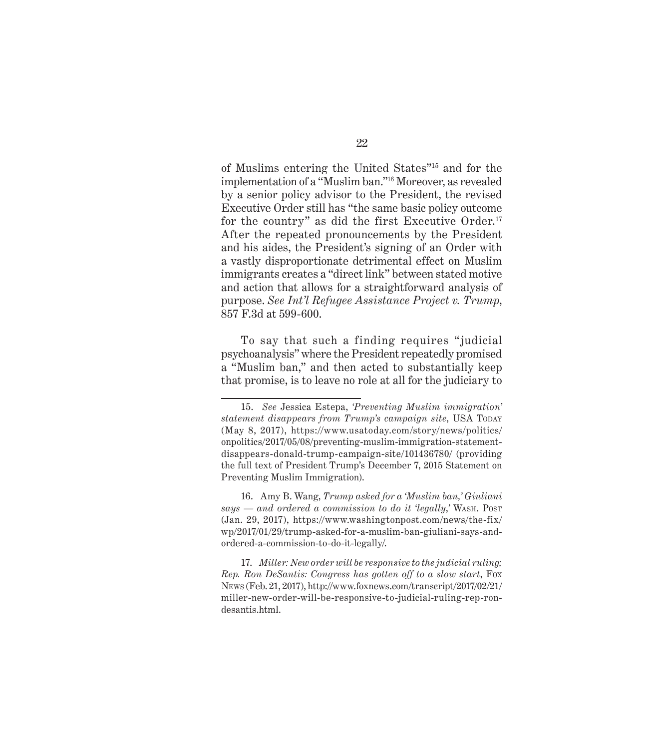of Muslims entering the United States"15 and for the implementation of a "Muslim ban."16 Moreover, as revealed by a senior policy advisor to the President, the revised Executive Order still has "the same basic policy outcome for the country" as did the first Executive Order.<sup>17</sup> After the repeated pronouncements by the President and his aides, the President's signing of an Order with a vastly disproportionate detrimental effect on Muslim immigrants creates a "direct link" between stated motive and action that allows for a straightforward analysis of purpose. *See Int'l Refugee Assistance Project v. Trump*, 857 F.3d at 599-600.

To say that such a finding requires "judicial psychoanalysis" where the President repeatedly promised a "Muslim ban," and then acted to substantially keep that promise, is to leave no role at all for the judiciary to

16. Amy B. Wang, *Trump asked for a 'Muslim ban,' Giuliani says — and ordered a commission to do it 'legally*,*'* Wash. Post (Jan. 29, 2017), https://www.washingtonpost.com/news/the-fix/ wp/2017/01/29/trump-asked-for-a-muslim-ban-giuliani-says-andordered-a-commission-to-do-it-legally/.

17. *Miller: New order will be responsive to the judicial ruling; Rep. Ron DeSantis: Congress has gotten off to a slow start*, Fox News (Feb. 21, 2017), http://www.foxnews.com/transcript/2017/02/21/ miller-new-order-will-be-responsive-to-judicial-ruling-rep-rondesantis.html.

<sup>15.</sup> *See* Jessica Estepa, *'Preventing Muslim immigration' statement disappears from Trump's campaign site*, USA TODAY (May 8, 2017), https://www.usatoday.com/story/news/politics/ onpolitics/2017/05/08/preventing-muslim-immigration-statementdisappears-donald-trump-campaign-site/101436780/ (providing the full text of President Trump's December 7, 2015 Statement on Preventing Muslim Immigration).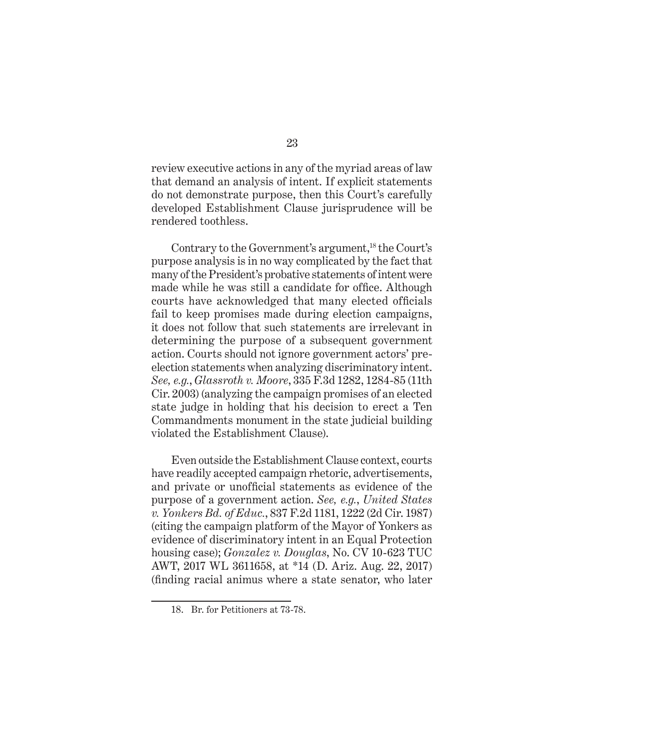review executive actions in any of the myriad areas of law that demand an analysis of intent. If explicit statements do not demonstrate purpose, then this Court's carefully developed Establishment Clause jurisprudence will be rendered toothless.

Contrary to the Government's argument,<sup>18</sup> the Court's purpose analysis is in no way complicated by the fact that many of the President's probative statements of intent were made while he was still a candidate for office. Although courts have acknowledged that many elected officials fail to keep promises made during election campaigns, it does not follow that such statements are irrelevant in determining the purpose of a subsequent government action. Courts should not ignore government actors' preelection statements when analyzing discriminatory intent. *See, e.g.*, *Glassroth v. Moore*, 335 F.3d 1282, 1284-85 (11th Cir. 2003) (analyzing the campaign promises of an elected state judge in holding that his decision to erect a Ten Commandments monument in the state judicial building violated the Establishment Clause).

Even outside the Establishment Clause context, courts have readily accepted campaign rhetoric, advertisements, and private or unofficial statements as evidence of the purpose of a government action. *See, e.g.*, *United States v. Yonkers Bd. of Educ.*, 837 F.2d 1181, 1222 (2d Cir. 1987) (citing the campaign platform of the Mayor of Yonkers as evidence of discriminatory intent in an Equal Protection housing case); *Gonzalez v. Douglas*, No. CV 10-623 TUC AWT, 2017 WL 3611658, at \*14 (D. Ariz. Aug. 22, 2017) (finding racial animus where a state senator, who later

<sup>18.</sup> Br. for Petitioners at 73-78.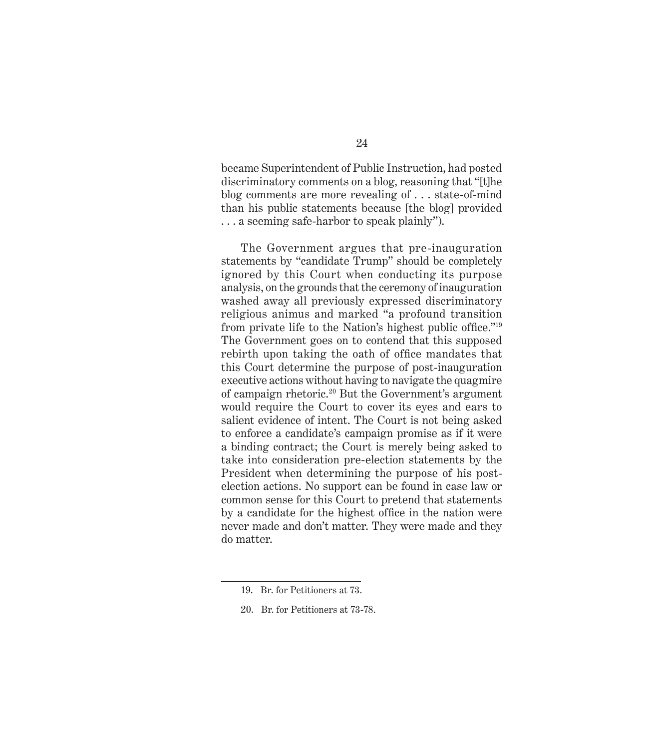became Superintendent of Public Instruction, had posted discriminatory comments on a blog, reasoning that "[t]he blog comments are more revealing of . . . state-of-mind than his public statements because [the blog] provided . . . a seeming safe-harbor to speak plainly").

The Government argues that pre-inauguration statements by "candidate Trump" should be completely ignored by this Court when conducting its purpose analysis, on the grounds that the ceremony of inauguration washed away all previously expressed discriminatory religious animus and marked "a profound transition from private life to the Nation's highest public office."<sup>19</sup> The Government goes on to contend that this supposed rebirth upon taking the oath of office mandates that this Court determine the purpose of post-inauguration executive actions without having to navigate the quagmire of campaign rhetoric.20 But the Government's argument would require the Court to cover its eyes and ears to salient evidence of intent. The Court is not being asked to enforce a candidate's campaign promise as if it were a binding contract; the Court is merely being asked to take into consideration pre-election statements by the President when determining the purpose of his postelection actions. No support can be found in case law or common sense for this Court to pretend that statements by a candidate for the highest office in the nation were never made and don't matter. They were made and they do matter.

<sup>19.</sup> Br. for Petitioners at 73.

<sup>20.</sup> Br. for Petitioners at 73-78.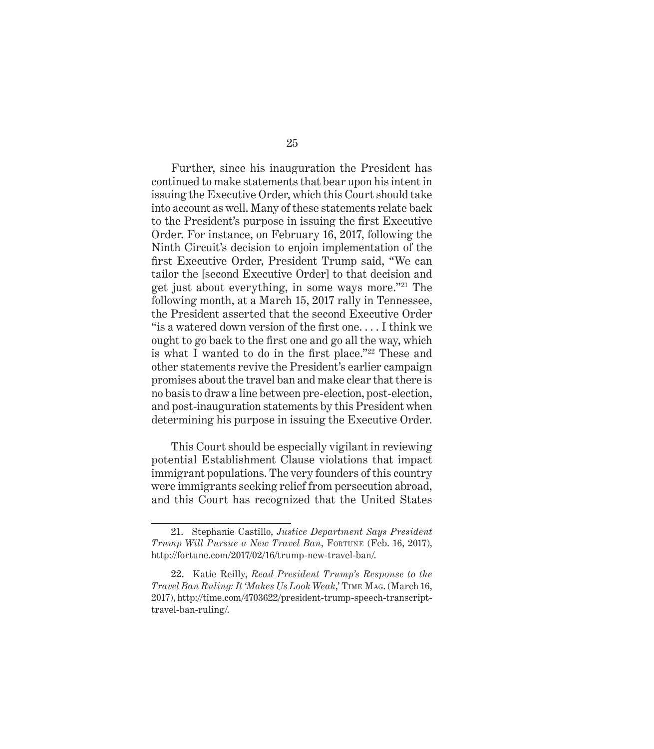Further, since his inauguration the President has continued to make statements that bear upon his intent in issuing the Executive Order, which this Court should take into account as well. Many of these statements relate back to the President's purpose in issuing the first Executive Order. For instance, on February 16, 2017, following the Ninth Circuit's decision to enjoin implementation of the first Executive Order, President Trump said, "We can tailor the [second Executive Order] to that decision and get just about everything, in some ways more."21 The following month, at a March 15, 2017 rally in Tennessee, the President asserted that the second Executive Order "is a watered down version of the first one. . . . I think we ought to go back to the first one and go all the way, which is what I wanted to do in the first place."22 These and other statements revive the President's earlier campaign promises about the travel ban and make clear that there is no basis to draw a line between pre-election, post-election, and post-inauguration statements by this President when determining his purpose in issuing the Executive Order.

This Court should be especially vigilant in reviewing potential Establishment Clause violations that impact immigrant populations. The very founders of this country were immigrants seeking relief from persecution abroad, and this Court has recognized that the United States

<sup>21.</sup> Stephanie Castillo, *Justice Department Says President Trump Will Pursue a New Travel Ban*, Fortune (Feb. 16, 2017), http://fortune.com/2017/02/16/trump-new-travel-ban/.

<sup>22.</sup> Katie Reilly, *Read President Trump's Response to the Travel Ban Ruling: It 'Makes Us Look Weak*,' Time Mag. (March 16, 2017), http://time.com/4703622/president-trump-speech-transcripttravel-ban-ruling/.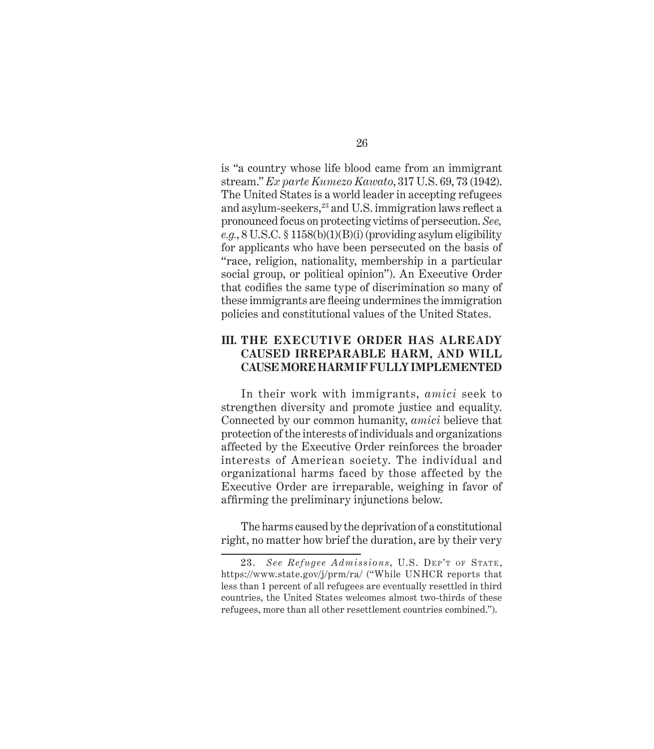<span id="page-36-0"></span>is "a country whose life blood came from an immigrant stream." *Ex parte Kumezo Kawato*, 317 U.S. 69, 73 (1942). The United States is a world leader in accepting refugees and asylum-seekers,<sup>23</sup> and U.S. immigration laws reflect a pronounced focus on protecting victims of persecution. *See, e.g.*, 8 U.S.C. § 1158(b)(1)(B)(i) (providing asylum eligibility for applicants who have been persecuted on the basis of "race, religion, nationality, membership in a particular social group, or political opinion"). An Executive Order that codifies the same type of discrimination so many of these immigrants are fleeing undermines the immigration policies and constitutional values of the United States.

#### **III. THE EXECUTIVE ORDER HAS ALREADY CAUSED IRREPARABLE HARM, AND WILL CAUSE MORE HARM IF FULLY IMPLEMENTED**

In their work with immigrants, *amici* seek to strengthen diversity and promote justice and equality. Connected by our common humanity, *amici* believe that protection of the interests of individuals and organizations affected by the Executive Order reinforces the broader interests of American society. The individual and organizational harms faced by those affected by the Executive Order are irreparable, weighing in favor of affirming the preliminary injunctions below.

The harms caused by the deprivation of a constitutional right, no matter how brief the duration, are by their very

<sup>23.</sup> See Refugee Admissions, U.S. DEP'T OF STATE, https://www.state.gov/j/prm/ra/ ("While UNHCR reports that less than 1 percent of all refugees are eventually resettled in third countries, the United States welcomes almost two-thirds of these refugees, more than all other resettlement countries combined.").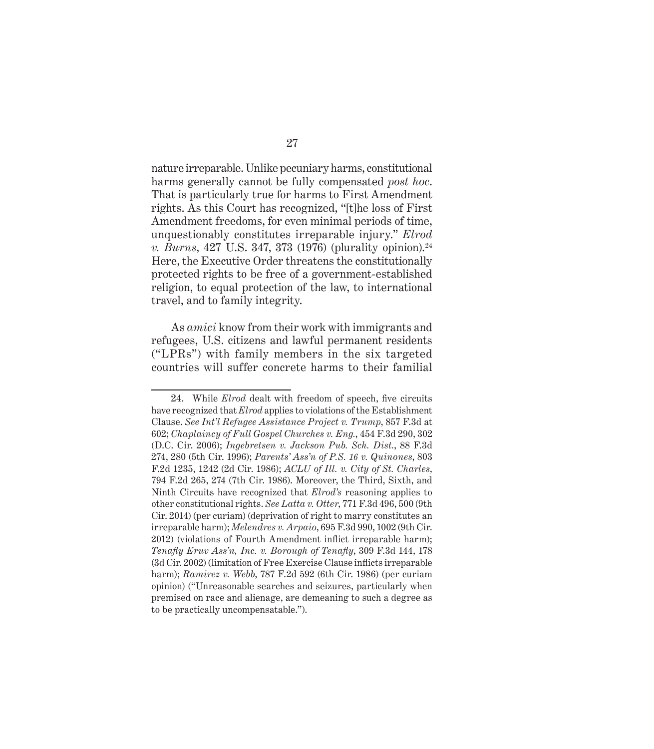nature irreparable. Unlike pecuniary harms, constitutional harms generally cannot be fully compensated *post hoc*. That is particularly true for harms to First Amendment rights. As this Court has recognized, "[t]he loss of First Amendment freedoms, for even minimal periods of time, unquestionably constitutes irreparable injury." *Elrod v. Burns*, 427 U.S. 347, 373 (1976) (plurality opinion).<sup>24</sup> Here, the Executive Order threatens the constitutionally protected rights to be free of a government-established religion, to equal protection of the law, to international travel, and to family integrity.

As *amici* know from their work with immigrants and refugees, U.S. citizens and lawful permanent residents ("LPRs") with family members in the six targeted countries will suffer concrete harms to their familial

<sup>24.</sup> While *Elrod* dealt with freedom of speech, five circuits have recognized that *Elrod* applies to violations of the Establishment Clause. *See Int'l Refugee Assistance Project v. Trump*, 857 F.3d at 602; *Chaplaincy of Full Gospel Churches v. Eng.*, 454 F.3d 290, 302 (D.C. Cir. 2006); *Ingebretsen v. Jackson Pub. Sch. Dist.*, 88 F.3d 274, 280 (5th Cir. 1996); *Parents' Ass'n of P.S. 16 v. Quinones*, 803 F.2d 1235, 1242 (2d Cir. 1986); *ACLU of Ill. v. City of St. Charles*, 794 F.2d 265, 274 (7th Cir. 1986). Moreover, the Third, Sixth, and Ninth Circuits have recognized that *Elrod's* reasoning applies to other constitutional rights. *See Latta v. Otter*, 771 F.3d 496, 500 (9th Cir. 2014) (per curiam) (deprivation of right to marry constitutes an irreparable harm); *Melendres v. Arpaio*, 695 F.3d 990, 1002 (9th Cir. 2012) (violations of Fourth Amendment inflict irreparable harm); *Tenafly Eruv Ass'n, Inc. v. Borough of Tenafly*, 309 F.3d 144, 178 (3d Cir. 2002) (limitation of Free Exercise Clause inflicts irreparable harm); *Ramirez v. Webb*, 787 F.2d 592 (6th Cir. 1986) (per curiam opinion) ("Unreasonable searches and seizures, particularly when premised on race and alienage, are demeaning to such a degree as to be practically uncompensatable.").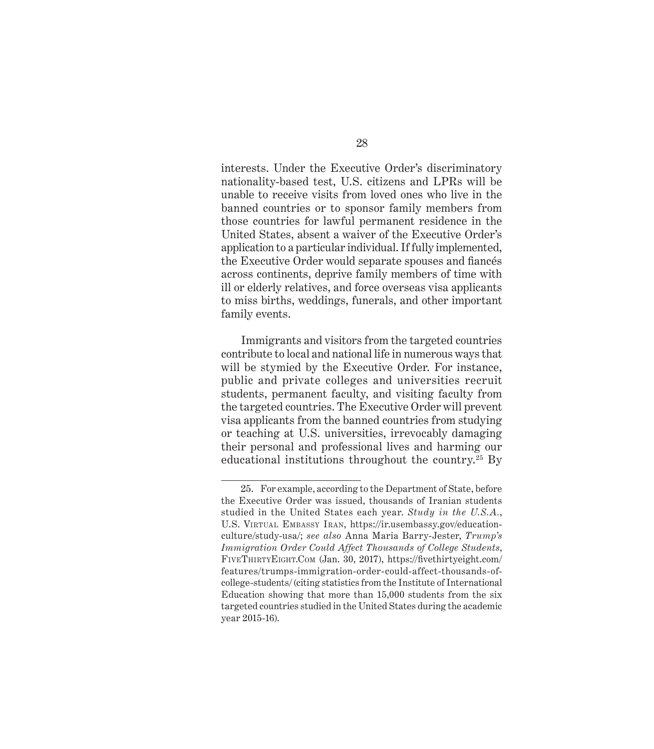interests. Under the Executive Order's discriminatory nationality-based test, U.S. citizens and LPRs will be unable to receive visits from loved ones who live in the banned countries or to sponsor family members from those countries for lawful permanent residence in the United States, absent a waiver of the Executive Order's application to a particular individual. If fully implemented, the Executive Order would separate spouses and fiancés across continents, deprive family members of time with ill or elderly relatives, and force overseas visa applicants to miss births, weddings, funerals, and other important family events.

Immigrants and visitors from the targeted countries contribute to local and national life in numerous ways that will be stymied by the Executive Order. For instance, public and private colleges and universities recruit students, permanent faculty, and visiting faculty from the targeted countries. The Executive Order will prevent visa applicants from the banned countries from studying or teaching at U.S. universities, irrevocably damaging their personal and professional lives and harming our educational institutions throughout the country.<sup>25</sup> By

<sup>25.</sup> For example, according to the Department of State, before the Executive Order was issued, thousands of Iranian students studied in the United States each year. *Study in the U.S.A.*, U.S. Virtual Embassy Iran, https://ir.usembassy.gov/educationculture/study-usa/; *see also* Anna Maria Barry-Jester, *Trump's Immigration Order Could Affect Thousands of College Students*, FiveThirtyEight.Com (Jan. 30, 2017), https://fivethirtyeight.com/ features/trumps-immigration-order-could-affect-thousands-ofcollege-students/ (citing statistics from the Institute of International Education showing that more than 15,000 students from the six targeted countries studied in the United States during the academic year 2015-16).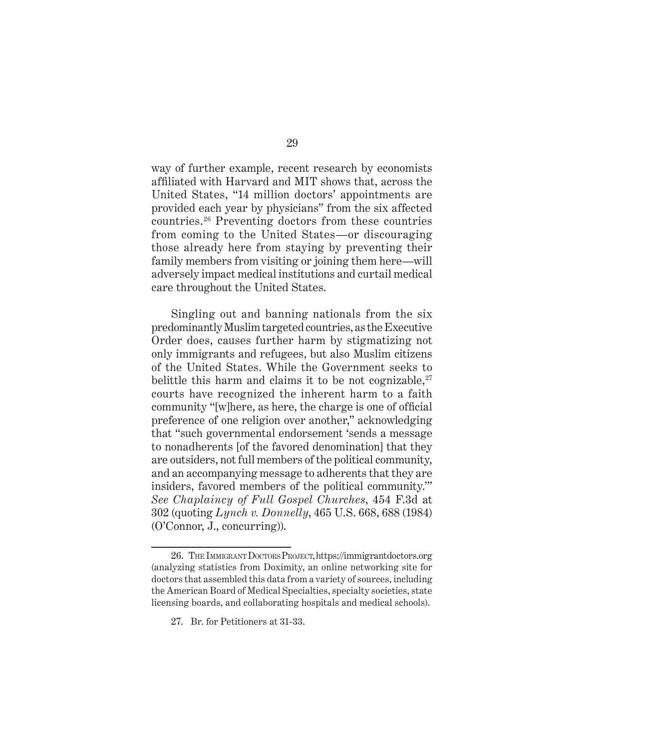way of further example, recent research by economists affiliated with Harvard and MIT shows that, across the United States, "14 million doctors' appointments are provided each year by physicians" from the six affected countries.26 Preventing doctors from these countries from coming to the United States—or discouraging those already here from staying by preventing their family members from visiting or joining them here—will adversely impact medical institutions and curtail medical care throughout the United States.

Singling out and banning nationals from the six predominantly Muslim targeted countries, as the Executive Order does, causes further harm by stigmatizing not only immigrants and refugees, but also Muslim citizens of the United States. While the Government seeks to belittle this harm and claims it to be not cognizable, $27$ courts have recognized the inherent harm to a faith community "[w]here, as here, the charge is one of official preference of one religion over another," acknowledging that "such governmental endorsement 'sends a message to nonadherents [of the favored denomination] that they are outsiders, not full members of the political community, and an accompanying message to adherents that they are insiders, favored members of the political community.'" *See Chaplaincy of Full Gospel Churches*, 454 F.3d at 302 (quoting *Lynch v. Donnelly*, 465 U.S. 668, 688 (1984) (O'Connor, J., concurring)).

<sup>26.</sup> The ImmigrantDoctorsProject,<https://immigrantdoctors.org> (analyzing statistics from Doximity, an online networking site for doctors that assembled this data from a variety of sources, including the American Board of Medical Specialties, specialty societies, state licensing boards, and collaborating hospitals and medical schools).

<sup>27.</sup> Br. for Petitioners at 31-33.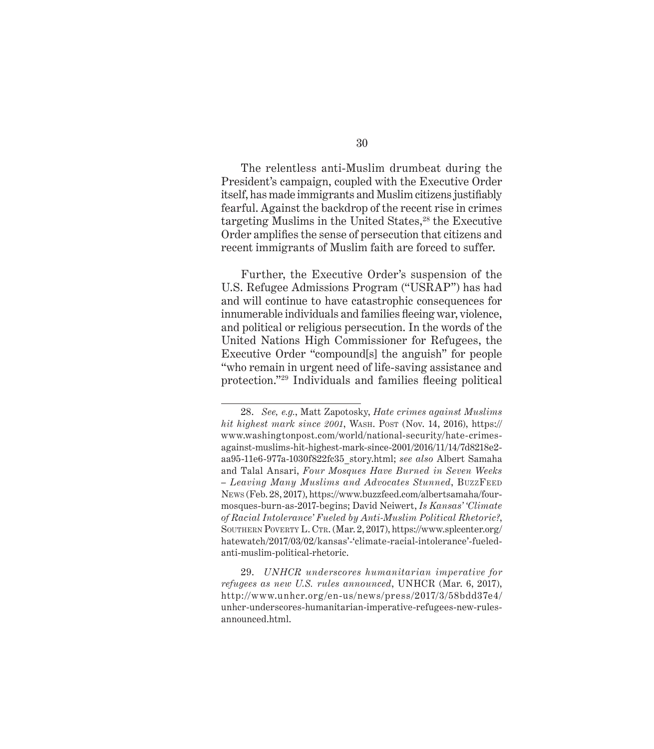The relentless anti-Muslim drumbeat during the President's campaign, coupled with the Executive Order itself, has made immigrants and Muslim citizens justifiably fearful. Against the backdrop of the recent rise in crimes targeting Muslims in the United States,<sup>28</sup> the Executive Order amplifies the sense of persecution that citizens and recent immigrants of Muslim faith are forced to suffer.

Further, the Executive Order's suspension of the U.S. Refugee Admissions Program ("USRAP") has had and will continue to have catastrophic consequences for innumerable individuals and families fleeing war, violence, and political or religious persecution. In the words of the United Nations High Commissioner for Refugees, the Executive Order "compound[s] the anguish" for people "who remain in urgent need of life-saving assistance and protection."29 Individuals and families fleeing political

<sup>28.</sup> *See, e.g.*, Matt Zapotosky, *Hate crimes against Muslims hit highest mark since 2001*, WASH. Post (Nov. 14, 2016), https:// www.washingtonpost.com/world/national-security/hate-crimesagainst-muslims-hit-highest-mark-since-2001/2016/11/14/7d8218e2 aa95-11e6-977a-1030f822fc35\_story.html; *see also* Albert Samaha and Talal Ansari, *Four Mosques Have Burned in Seven Weeks – Leaving Many Muslims and Advocates Stunned*, BuzzFeed News (Feb. 28, 2017), https://www.buzzfeed.com/albertsamaha/fourmosques-burn-as-2017-begins; David Neiwert, *Is Kansas' 'Climate of Racial Intolerance' Fueled by Anti-Muslim Political Rhetoric?*, Southern Poverty L. Ctr. (Mar. 2, 2017), https://www.splcenter.org/ hatewatch/2017/03/02/kansas'-'climate-racial-intolerance'-fueledanti-muslim-political-rhetoric.

<sup>29.</sup> *UNHCR underscores humanitarian imperative for refugees as new U.S. rules announced*, UNHCR (Mar. 6, 2017), http://www.unhcr.org/en-us/news/press/2017/3/58bdd37e4/ unhcr-underscores-humanitarian-imperative-refugees-new-rulesannounced.html.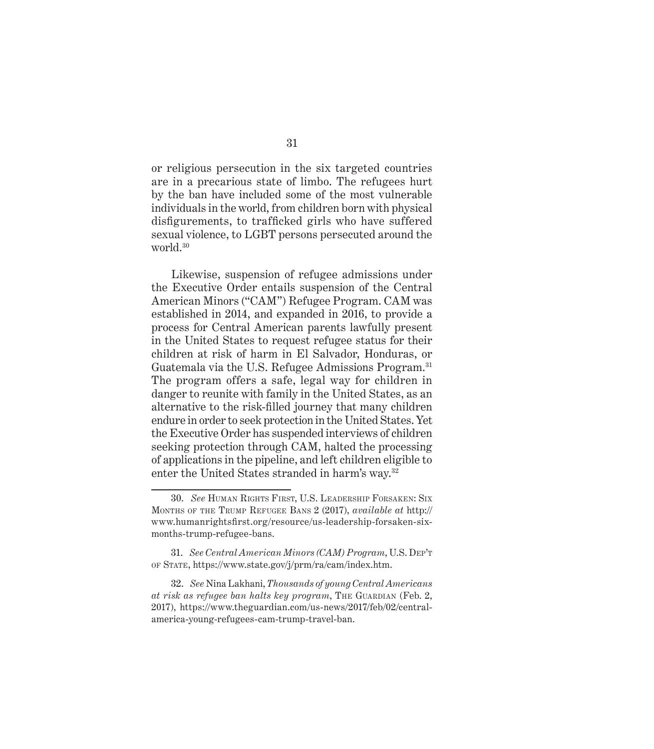or religious persecution in the six targeted countries are in a precarious state of limbo. The refugees hurt by the ban have included some of the most vulnerable individuals in the world, from children born with physical disfigurements, to trafficked girls who have suffered sexual violence, to LGBT persons persecuted around the world.30

Likewise, suspension of refugee admissions under the Executive Order entails suspension of the Central American Minors ("CAM") Refugee Program. CAM was established in 2014, and expanded in 2016, to provide a process for Central American parents lawfully present in the United States to request refugee status for their children at risk of harm in El Salvador, Honduras, or Guatemala via the U.S. Refugee Admissions Program.31 The program offers a safe, legal way for children in danger to reunite with family in the United States, as an alternative to the risk-filled journey that many children endure in order to seek protection in the United States. Yet the Executive Order has suspended interviews of children seeking protection through CAM, halted the processing of applications in the pipeline, and left children eligible to enter the United States stranded in harm's way.32

<sup>30.</sup> *See* Human Rights First, U.S. Leadership Forsaken: Six Months of the Trump Refugee Bans 2 (2017), *available at* http:// www.humanrightsfirst.org/resource/us-leadership-forsaken-sixmonths-trump-refugee-bans.

<sup>31.</sup> *See Central American Minors (CAM) Program*, U.S. Dep't of State, https://www.state.gov/j/prm/ra/cam/index.htm.

<sup>32.</sup> *See* Nina Lakhani, *Thousands of young Central Americans*  at risk as refugee ban halts key program, THE GUARDIAN (Feb. 2, 2017), [https://www.theguardian.com/us-news/2017/feb/02/central](https://www.theguardian.com/us-news/2017/feb/02/central-america-young-refugees-cam-trump-travel-ban)[america-young-refugees-cam-trump-travel-ban.](https://www.theguardian.com/us-news/2017/feb/02/central-america-young-refugees-cam-trump-travel-ban)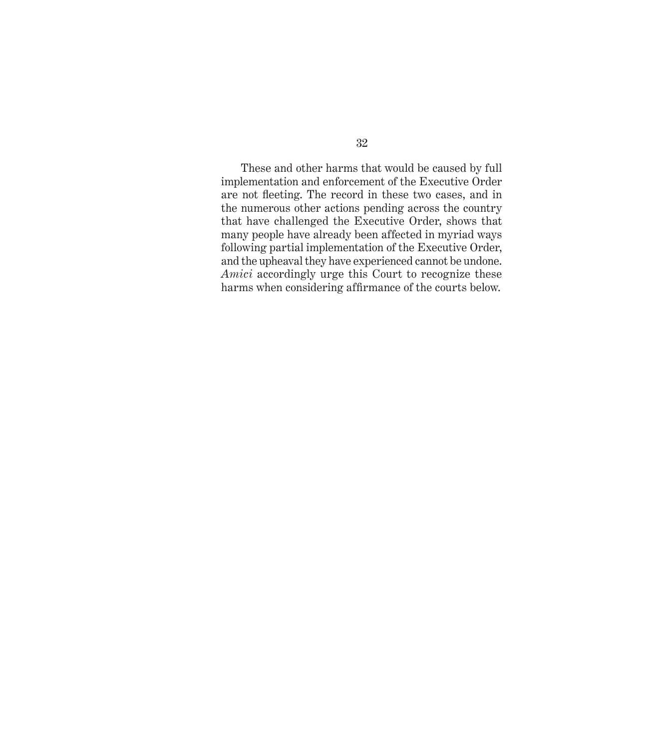These and other harms that would be caused by full implementation and enforcement of the Executive Order are not fleeting. The record in these two cases, and in the numerous other actions pending across the country that have challenged the Executive Order, shows that many people have already been affected in myriad ways following partial implementation of the Executive Order, and the upheaval they have experienced cannot be undone. *Amici* accordingly urge this Court to recognize these harms when considering affirmance of the courts below.